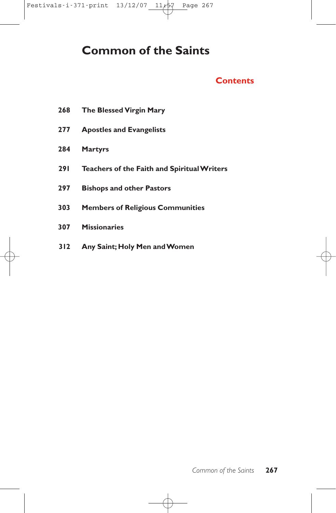Festivals-i-371-print  $13/12/07$   $11/57$  Page 267

# **Common of the Saints**

## **Contents**

- **268 The Blessed Virgin Mary**
- **277 Apostles and Evangelists**
- **284 Martyrs**
- **291 Teachers of the Faith and Spiritual Writers**
- **297 Bishops and other Pastors**
- **303 Members of Religious Communities**
- **307 Missionaries**
- **312 Any Saint; Holy Men and Women**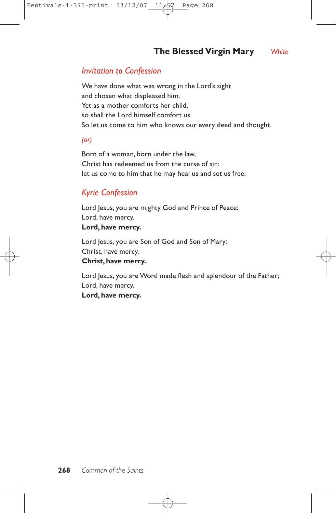## **The Blessed Virgin Mary** *White*

#### *Invitation to Confession*

We have done what was wrong in the Lord's sight and chosen what displeased him. Yet as a mother comforts her child, so shall the Lord himself comfort us. So let us come to him who knows our every deed and thought.

#### *(or)*

Born of a woman, born under the law, Christ has redeemed us from the curse of sin: let us come to him that he may heal us and set us free:

### *Kyrie Confession*

Lord Jesus, you are mighty God and Prince of Peace: Lord, have mercy. **Lord, have mercy.**

Lord Jesus, you are Son of God and Son of Mary: Christ, have mercy. **Christ, have mercy.**

Lord Jesus, you are Word made flesh and splendour of the Father; Lord, have mercy. **Lord, have mercy.**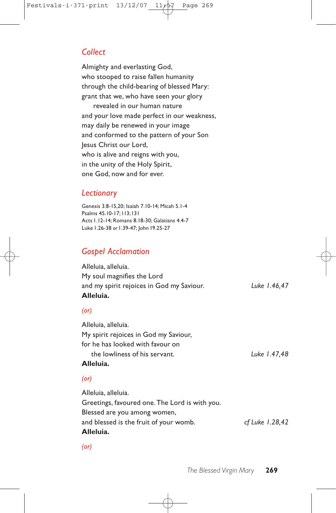## *Collect*

Almighty and everlasting God, who stooped to raise fallen humanity through the child-bearing of blessed Mary: grant that we, who have seen your glory revealed in our human nature and your love made perfect in our weakness, may daily be renewed in your image and conformed to the pattern of your Son Jesus Christ our Lord, who is alive and reigns with you, in the unity of the Holy Spirit, one God, now and for ever.

## *Lectionary*

Genesis 3.8-15,20; Isaiah 7.10-14; Micah 5.1-4 Psalms 45.10-17;113;131 Acts 1.12-14; Romans 8.18-30; Galatians 4.4-7 Luke 1.26-38 *or* 1.39-47; John 19.25-27

## *Gospel Acclamation*

Alleluia, alleluia. My soul magnifies the Lord and my spirit rejoices in God my Saviour. *Luke 1.46,47* **Alleluia.**

#### *(or)*

Alleluia, alleluia. My spirit rejoices in God my Saviour, for he has looked with favour on the lowliness of his servant. *Luke 1.47,48*

## **Alleluia.**

#### *(or)*

Alleluia, alleluia. Greetings, favoured one. The Lord is with you. Blessed are you among women, and blessed is the fruit of your womb. *cf Luke 1.28,42* **Alleluia.**

*(or)*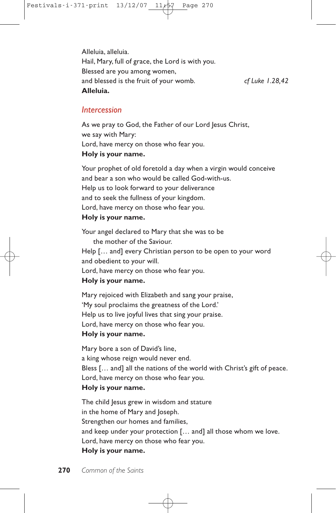Alleluia, alleluia. Hail, Mary, full of grace, the Lord is with you. Blessed are you among women, and blessed is the fruit of your womb. *cf Luke 1.28,42* **Alleluia.**

#### *Intercession*

As we pray to God, the Father of our Lord Jesus Christ, we say with Mary: Lord, have mercy on those who fear you. **Holy is your name.**

Your prophet of old foretold a day when a virgin would conceive and bear a son who would be called God-with-us. Help us to look forward to your deliverance and to seek the fullness of your kingdom. Lord, have mercy on those who fear you. **Holy is your name.**

## Your angel declared to Mary that she was to be the mother of the Saviour. Help [… and] every Christian person to be open to your word and obedient to your will. Lord, have mercy on those who fear you. **Holy is your name.**

Mary rejoiced with Elizabeth and sang your praise, 'My soul proclaims the greatness of the Lord.' Help us to live joyful lives that sing your praise. Lord, have mercy on those who fear you. **Holy is your name.**

Mary bore a son of David's line, a king whose reign would never end. Bless [… and] all the nations of the world with Christ's gift of peace. Lord, have mercy on those who fear you. **Holy is your name.**

The child Jesus grew in wisdom and stature in the home of Mary and Joseph. Strengthen our homes and families, and keep under your protection [… and] all those whom we love. Lord, have mercy on those who fear you. **Holy is your name.**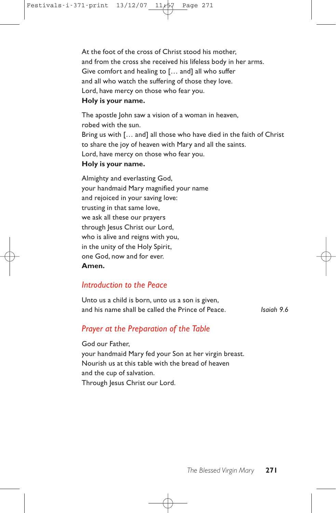At the foot of the cross of Christ stood his mother, and from the cross she received his lifeless body in her arms. Give comfort and healing to [… and] all who suffer and all who watch the suffering of those they love. Lord, have mercy on those who fear you. **Holy is your name.**

The apostle John saw a vision of a woman in heaven, robed with the sun. Bring us with [… and] all those who have died in the faith of Christ to share the joy of heaven with Mary and all the saints. Lord, have mercy on those who fear you. **Holy is your name.**

Almighty and everlasting God, your handmaid Mary magnified your name and rejoiced in your saving love: trusting in that same love, we ask all these our prayers through Jesus Christ our Lord, who is alive and reigns with you, in the unity of the Holy Spirit, one God, now and for ever. **Amen.**

## *Introduction to the Peace*

Unto us a child is born, unto us a son is given, and his name shall be called the Prince of Peace. *Isaiah 9.6*

## *Prayer at the Preparation of the Table*

God our Father, your handmaid Mary fed your Son at her virgin breast. Nourish us at this table with the bread of heaven and the cup of salvation. Through Jesus Christ our Lord.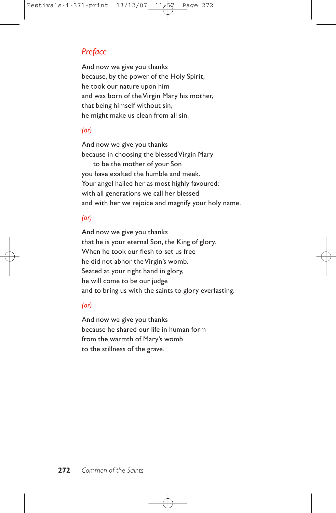## *Preface*

And now we give you thanks because, by the power of the Holy Spirit, he took our nature upon him and was born of the Virgin Mary his mother, that being himself without sin, he might make us clean from all sin.

#### *(or)*

And now we give you thanks because in choosing the blessed Virgin Mary to be the mother of your Son you have exalted the humble and meek. Your angel hailed her as most highly favoured; with all generations we call her blessed and with her we rejoice and magnify your holy name.

#### *(or)*

And now we give you thanks that he is your eternal Son, the King of glory. When he took our flesh to set us free he did not abhor the Virgin's womb. Seated at your right hand in glory, he will come to be our judge and to bring us with the saints to glory everlasting.

#### *(or)*

And now we give you thanks because he shared our life in human form from the warmth of Mary's womb to the stillness of the grave.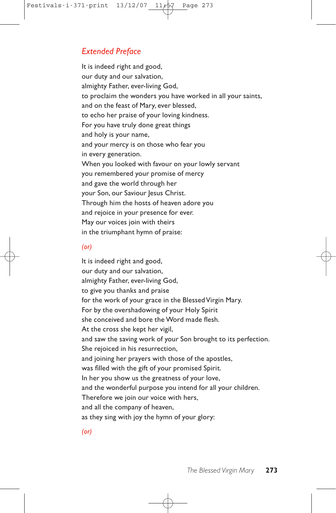## *Extended Preface*

It is indeed right and good, our duty and our salvation, almighty Father, ever-living God, to proclaim the wonders you have worked in all your saints, and on the feast of Mary, ever blessed, to echo her praise of your loving kindness. For you have truly done great things and holy is your name, and your mercy is on those who fear you in every generation. When you looked with favour on your lowly servant you remembered your promise of mercy and gave the world through her your Son, our Saviour Jesus Christ. Through him the hosts of heaven adore you and rejoice in your presence for ever. May our voices join with theirs in the triumphant hymn of praise:

#### *(or)*

It is indeed right and good, our duty and our salvation, almighty Father, ever-living God, to give you thanks and praise for the work of your grace in the Blessed Virgin Mary. For by the overshadowing of your Holy Spirit she conceived and bore the Word made flesh. At the cross she kept her vigil, and saw the saving work of your Son brought to its perfection. She rejoiced in his resurrection, and joining her prayers with those of the apostles, was filled with the gift of your promised Spirit. In her you show us the greatness of your love, and the wonderful purpose you intend for all your children. Therefore we join our voice with hers, and all the company of heaven, as they sing with joy the hymn of your glory:

*(or)*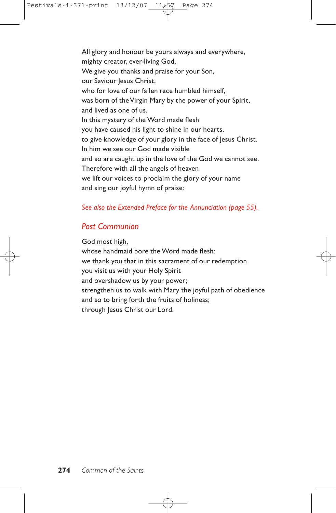All glory and honour be yours always and everywhere, mighty creator, ever-living God. We give you thanks and praise for your Son, our Saviour Jesus Christ, who for love of our fallen race humbled himself, was born of the Virgin Mary by the power of your Spirit, and lived as one of us. In this mystery of the Word made flesh you have caused his light to shine in our hearts, to give knowledge of your glory in the face of Jesus Christ. In him we see our God made visible and so are caught up in the love of the God we cannot see. Therefore with all the angels of heaven we lift our voices to proclaim the glory of your name and sing our joyful hymn of praise:

#### *See also the Extended Preface for the Annunciation (page 55).*

## *Post Communion*

God most high, whose handmaid bore the Word made flesh: we thank you that in this sacrament of our redemption you visit us with your Holy Spirit and overshadow us by your power; strengthen us to walk with Mary the joyful path of obedience and so to bring forth the fruits of holiness; through Jesus Christ our Lord.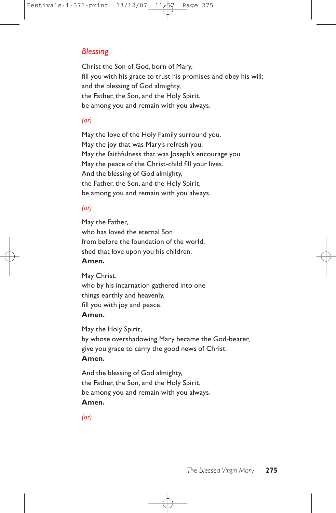## *Blessing*

Christ the Son of God, born of Mary, fill you with his grace to trust his promises and obey his will; and the blessing of God almighty, the Father, the Son, and the Holy Spirit, be among you and remain with you always.

#### *(or)*

May the love of the Holy Family surround you. May the joy that was Mary's refresh you. May the faithfulness that was Joseph's encourage you. May the peace of the Christ-child fill your lives. And the blessing of God almighty, the Father, the Son, and the Holy Spirit, be among you and remain with you always.

#### *(or)*

May the Father, who has loved the eternal Son from before the foundation of the world, shed that love upon you his children. **Amen.**

May Christ, who by his incarnation gathered into one things earthly and heavenly, fill you with joy and peace. **Amen.**

May the Holy Spirit, by whose overshadowing Mary became the God-bearer, give you grace to carry the good news of Christ. **Amen.**

And the blessing of God almighty, the Father, the Son, and the Holy Spirit, be among you and remain with you always. **Amen.**

*(or)*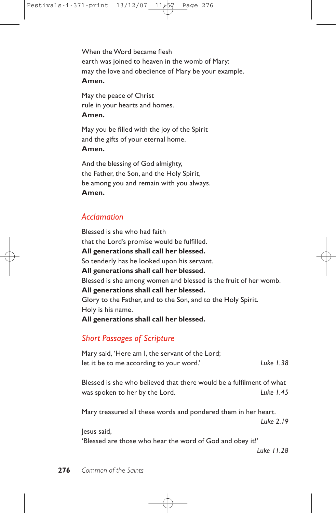When the Word became flesh earth was joined to heaven in the womb of Mary: may the love and obedience of Mary be your example. **Amen.**

May the peace of Christ rule in your hearts and homes. **Amen.**

May you be filled with the joy of the Spirit and the gifts of your eternal home. **Amen.**

And the blessing of God almighty, the Father, the Son, and the Holy Spirit, be among you and remain with you always. **Amen.**

## *Acclamation*

Blessed is she who had faith that the Lord's promise would be fulfilled. **All generations shall call her blessed.** So tenderly has he looked upon his servant. **All generations shall call her blessed.** Blessed is she among women and blessed is the fruit of her womb. **All generations shall call her blessed.** Glory to the Father, and to the Son, and to the Holy Spirit. Holy is his name. **All generations shall call her blessed.**

### *Short Passages of Scripture*

Mary said, 'Here am I, the servant of the Lord; let it be to me according to your word.' *Luke 1.38*

Blessed is she who believed that there would be a fulfilment of what was spoken to her by the Lord. *Luke 1.45*

Mary treasured all these words and pondered them in her heart.

*Luke 2.19*

Jesus said,

'Blessed are those who hear the word of God and obey it!'

*Luke 11.28*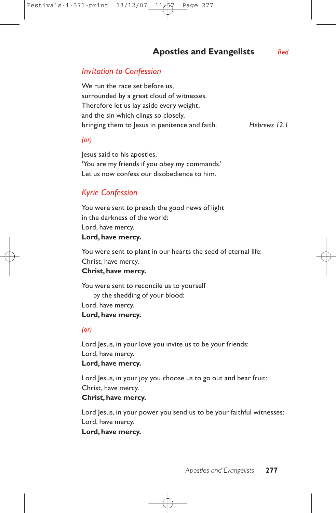## **Apostles and Evangelists** *Red*

## *Invitation to Confession*

We run the race set before us, surrounded by a great cloud of witnesses. Therefore let us lay aside every weight, and the sin which clings so closely, bringing them to Jesus in penitence and faith. *Hebrews 12.1*

#### *(or)*

Jesus said to his apostles, 'You are my friends if you obey my commands.' Let us now confess our disobedience to him.

## *Kyrie Confession*

You were sent to preach the good news of light in the darkness of the world: Lord, have mercy. **Lord, have mercy.**

You were sent to plant in our hearts the seed of eternal life: Christ, have mercy.

## **Christ, have mercy.**

You were sent to reconcile us to yourself by the shedding of your blood: Lord, have mercy. **Lord, have mercy.**

#### *(or)*

Lord Jesus, in your love you invite us to be your friends: Lord, have mercy.

## **Lord, have mercy.**

Lord Jesus, in your joy you choose us to go out and bear fruit: Christ, have mercy.

## **Christ, have mercy.**

Lord Jesus, in your power you send us to be your faithful witnesses: Lord, have mercy.

#### **Lord, have mercy.**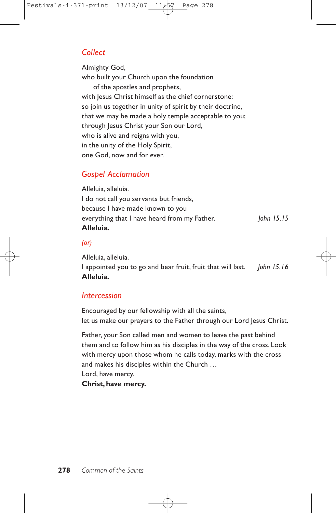## *Collect*

Almighty God, who built your Church upon the foundation of the apostles and prophets, with Jesus Christ himself as the chief cornerstone: so join us together in unity of spirit by their doctrine, that we may be made a holy temple acceptable to you; through Jesus Christ your Son our Lord, who is alive and reigns with you, in the unity of the Holy Spirit, one God, now and for ever.

### *Gospel Acclamation*

Alleluia, alleluia. I do not call you servants but friends, because I have made known to you everything that I have heard from my Father. *John 15.15* **Alleluia.**

#### *(or)*

Alleluia, alleluia. I appointed you to go and bear fruit, fruit that will last. *John 15.16* **Alleluia.**

#### *Intercession*

Encouraged by our fellowship with all the saints, let us make our prayers to the Father through our Lord Jesus Christ.

Father, your Son called men and women to leave the past behind them and to follow him as his disciples in the way of the cross. Look with mercy upon those whom he calls today, marks with the cross and makes his disciples within the Church … Lord, have mercy.

**Christ, have mercy.**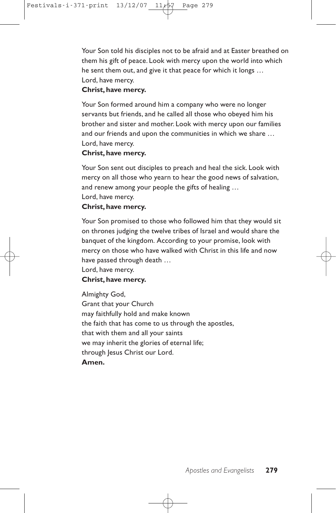Your Son told his disciples not to be afraid and at Easter breathed on them his gift of peace. Look with mercy upon the world into which he sent them out, and give it that peace for which it longs … Lord, have mercy.

#### **Christ, have mercy.**

Your Son formed around him a company who were no longer servants but friends, and he called all those who obeyed him his brother and sister and mother. Look with mercy upon our families and our friends and upon the communities in which we share … Lord, have mercy.

#### **Christ, have mercy.**

Your Son sent out disciples to preach and heal the sick. Look with mercy on all those who yearn to hear the good news of salvation, and renew among your people the gifts of healing … Lord, have mercy.

#### **Christ, have mercy.**

Your Son promised to those who followed him that they would sit on thrones judging the twelve tribes of Israel and would share the banquet of the kingdom. According to your promise, look with mercy on those who have walked with Christ in this life and now have passed through death …

Lord, have mercy.

#### **Christ, have mercy.**

Almighty God, Grant that your Church may faithfully hold and make known the faith that has come to us through the apostles, that with them and all your saints we may inherit the glories of eternal life; through Jesus Christ our Lord. **Amen.**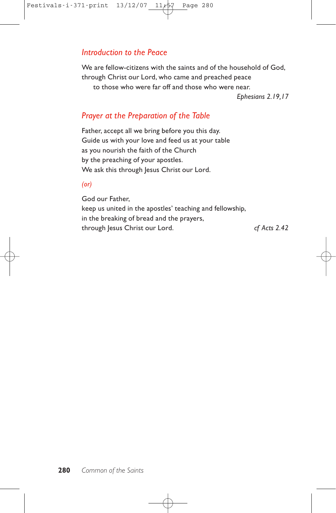## *Introduction to the Peace*

We are fellow-citizens with the saints and of the household of God, through Christ our Lord, who came and preached peace to those who were far off and those who were near.

*Ephesians 2.19,17*

## *Prayer at the Preparation of the Table*

Father, accept all we bring before you this day. Guide us with your love and feed us at your table as you nourish the faith of the Church by the preaching of your apostles. We ask this through Jesus Christ our Lord.

#### *(or)*

God our Father, keep us united in the apostles' teaching and fellowship, in the breaking of bread and the prayers, through Jesus Christ our Lord. *cf Acts 2.42*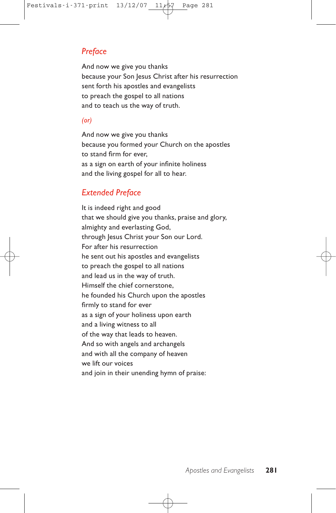## *Preface*

And now we give you thanks because your Son Jesus Christ after his resurrection sent forth his apostles and evangelists to preach the gospel to all nations and to teach us the way of truth.

#### *(or)*

And now we give you thanks because you formed your Church on the apostles to stand firm for ever, as a sign on earth of your infinite holiness and the living gospel for all to hear.

#### *Extended Preface*

It is indeed right and good that we should give you thanks, praise and glory, almighty and everlasting God, through Jesus Christ your Son our Lord. For after his resurrection he sent out his apostles and evangelists to preach the gospel to all nations and lead us in the way of truth. Himself the chief cornerstone, he founded his Church upon the apostles firmly to stand for ever as a sign of your holiness upon earth and a living witness to all of the way that leads to heaven. And so with angels and archangels and with all the company of heaven we lift our voices and join in their unending hymn of praise: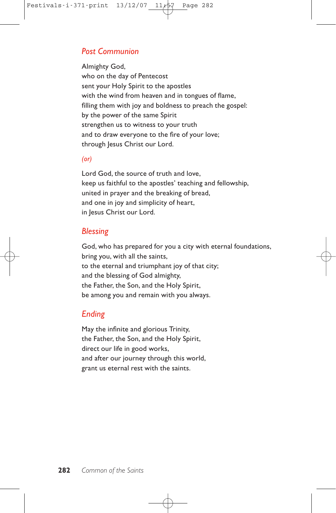## *Post Communion*

Almighty God, who on the day of Pentecost sent your Holy Spirit to the apostles with the wind from heaven and in tongues of flame, filling them with joy and boldness to preach the gospel: by the power of the same Spirit strengthen us to witness to your truth and to draw everyone to the fire of your love; through Jesus Christ our Lord.

#### *(or)*

Lord God, the source of truth and love, keep us faithful to the apostles' teaching and fellowship, united in prayer and the breaking of bread, and one in joy and simplicity of heart, in Jesus Christ our Lord.

## *Blessing*

God, who has prepared for you a city with eternal foundations, bring you, with all the saints, to the eternal and triumphant joy of that city; and the blessing of God almighty, the Father, the Son, and the Holy Spirit, be among you and remain with you always.

#### *Ending*

May the infinite and glorious Trinity, the Father, the Son, and the Holy Spirit, direct our life in good works, and after our journey through this world, grant us eternal rest with the saints.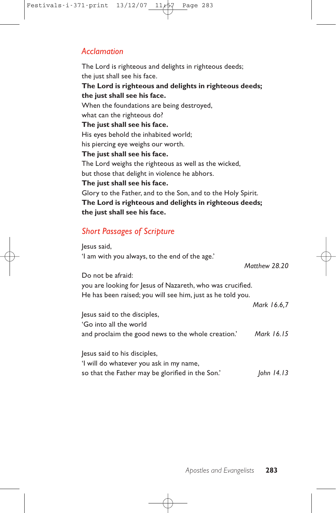## *Acclamation*

The Lord is righteous and delights in righteous deeds; the just shall see his face. **The Lord is righteous and delights in righteous deeds; the just shall see his face.** When the foundations are being destroyed, what can the righteous do? **The just shall see his face.** His eyes behold the inhabited world; his piercing eye weighs our worth. **The just shall see his face.** The Lord weighs the righteous as well as the wicked, but those that delight in violence he abhors. **The just shall see his face.** Glory to the Father, and to the Son, and to the Holy Spirit. **The Lord is righteous and delights in righteous deeds; the just shall see his face.**

## *Short Passages of Scripture*

| lesus said,                                                |               |
|------------------------------------------------------------|---------------|
| 'I am with you always, to the end of the age.'             |               |
|                                                            | Matthew 28.20 |
| Do not be afraid:                                          |               |
| you are looking for Jesus of Nazareth, who was crucified.  |               |
| He has been raised; you will see him, just as he told you. |               |
|                                                            | Mark 16.6,7   |
| lesus said to the disciples,                               |               |
| 'Go into all the world                                     |               |
| and proclaim the good news to the whole creation.'         | Mark 16.15    |
| lesus said to his disciples,                               |               |
| 'I will do whatever you ask in my name,                    |               |
| so that the Father may be glorified in the Son.'           | John $14.13$  |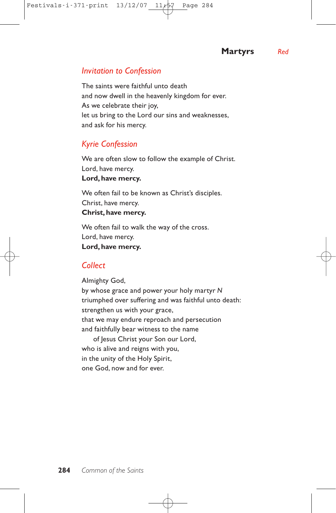#### **Martyrs** *Red*

#### Festivals-i-371-print  $13/12/07$   $11/57$  Page 284

## *Invitation to Confession*

The saints were faithful unto death and now dwell in the heavenly kingdom for ever. As we celebrate their joy, let us bring to the Lord our sins and weaknesses, and ask for his mercy.

## *Kyrie Confession*

We are often slow to follow the example of Christ. Lord, have mercy. **Lord, have mercy.**

We often fail to be known as Christ's disciples. Christ, have mercy. **Christ, have mercy.**

We often fail to walk the way of the cross. Lord, have mercy. **Lord, have mercy.**

## *Collect*

Almighty God, by whose grace and power your holy martyr *N* triumphed over suffering and was faithful unto death: strengthen us with your grace, that we may endure reproach and persecution and faithfully bear witness to the name of Jesus Christ your Son our Lord, who is alive and reigns with you, in the unity of the Holy Spirit, one God, now and for ever.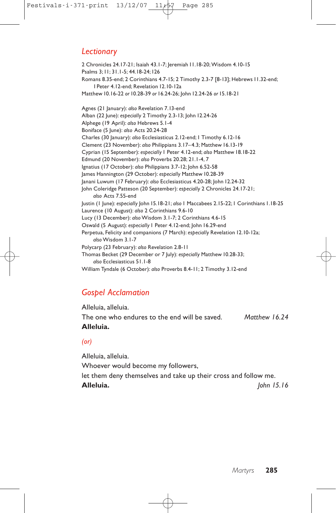## *Lectionary*

2 Chronicles 24.17-21; Isaiah 43.1-7; Jeremiah 11.18-20; Wisdom 4.10-15 Psalms 3;11; 31.1-5; 44.18-24;126 Romans 8.35-end; 2 Corinthians 4.7-15; 2 Timothy 2.3-7 [8-13]; Hebrews 11.32-end; 1Peter 4.12-end; Revelation 12.10-12a Matthew 10.16-22 *or* 10.28-39 *or* 16.24-26; John 12.24-26 *or* 15.18-21 Agnes (21 January): *also* Revelation 7.13-end Alban (22 June): *especially* 2 Timothy 2.3-13; John 12.24-26 Alphege (19 April): *also* Hebrews 5.1-4 Boniface (5 June): *also* Acts 20.24-28 Charles (30 January): *also* Ecclesiasticus 2.12-end;1 Timothy 6.12-16 Clement (23 November): *also* Philippians 3.17–4.3; Matthew 16.13-19 Cyprian (15 September): *especially* 1 Peter 4.12-end; *also* Matthew 18.18-22 Edmund (20 November): *also* Proverbs 20.28; 21.1-4, 7 Ignatius (17 October): *also* Philippians 3.7-12; John 6.52-58 James Hannington (29 October): *especially* Matthew 10.28-39 Janani Luwum (17 February): *also* Ecclesiasticus 4.20-28; John 12.24-32 John Coleridge Patteson (20 September): *especially* 2 Chronicles 24.17-21; *also* Acts 7.55-end Justin (1 June): *especially* John 15.18-21; *also* 1 Maccabees 2.15-22;1 Corinthians 1.18-25 Laurence (10 August): *also* 2 Corinthians 9.6-10 Lucy (13 December): *also* Wisdom 3.1-7; 2 Corinthians 4.6-15 Oswald (5 August): *especially* I Peter 4.12-end; John 16.29-end Perpetua, Felicity and companions (7 March): *especially* Revelation 12.10-12a; *also* Wisdom 3.1-7 Polycarp (23 February): *also* Revelation 2.8-11 Thomas Becket (29 December or 7 July): *especially* Matthew 10.28-33; *also* Ecclesiasticus 51.1-8 William Tyndale (6 October): *also* Proverbs 8.4-11; 2 Timothy 3.12-end

### *Gospel Acclamation*

Alleluia, alleluia. The one who endures to the end will be saved. *Matthew 16.24* **Alleluia.**

#### *(or)*

Alleluia, alleluia. Whoever would become my followers, let them deny themselves and take up their cross and follow me. **Alleluia.** *John 15.16*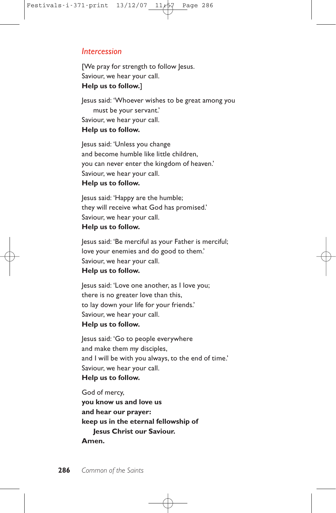## *Intercession*

[We pray for strength to follow Jesus. Saviour, we hear your call. **Help us to follow.**]

Jesus said: 'Whoever wishes to be great among you must be your servant.' Saviour, we hear your call.

#### **Help us to follow.**

Jesus said: 'Unless you change and become humble like little children, you can never enter the kingdom of heaven.' Saviour, we hear your call. **Help us to follow.**

Jesus said: 'Happy are the humble; they will receive what God has promised.' Saviour, we hear your call. **Help us to follow.**

Jesus said: 'Be merciful as your Father is merciful; love your enemies and do good to them.' Saviour, we hear your call. **Help us to follow.**

Jesus said: 'Love one another, as I love you; there is no greater love than this, to lay down your life for your friends.' Saviour, we hear your call. **Help us to follow.**

Jesus said: 'Go to people everywhere and make them my disciples, and I will be with you always, to the end of time.' Saviour, we hear your call. **Help us to follow.**

God of mercy, **you know us and love us and hear our prayer: keep us in the eternal fellowship of Jesus Christ our Saviour. Amen.**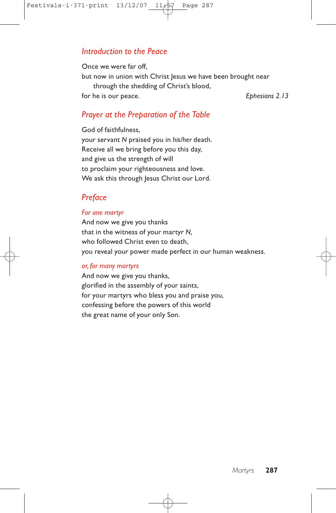## *Introduction to the Peace*

Once we were far off, but now in union with Christ lesus we have been brought near through the shedding of Christ's blood, for he is our peace. *Ephesians 2.13*

*Prayer at the Preparation of the Table*

God of faithfulness, your servant *N* praised you in *his/her* death. Receive all we bring before you this day, and give us the strength of will to proclaim your righteousness and love. We ask this through Jesus Christ our Lord.

## *Preface*

#### *For one martyr*

And now we give you thanks that in the witness of your martyr *N,* who followed Christ even to death, you reveal your power made perfect in our human weakness.

#### *or, for many martyrs*

And now we give you thanks, glorified in the assembly of your saints, for your martyrs who bless you and praise you, confessing before the powers of this world the great name of your only Son.

*Martyrs* **287**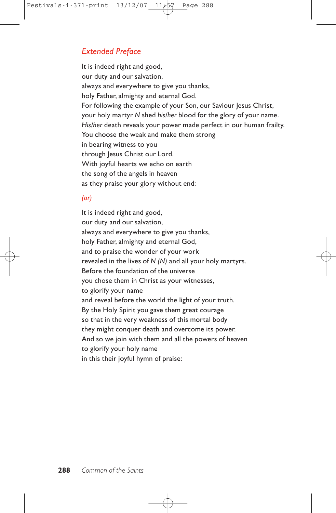## *Extended Preface*

It is indeed right and good, our duty and our salvation, always and everywhere to give you thanks, holy Father, almighty and eternal God. For following the example of your Son, our Saviour Jesus Christ, your holy martyr *N* shed *his/her* blood for the glory of your name. *His/her* death reveals your power made perfect in our human frailty. You choose the weak and make them strong in bearing witness to you through Jesus Christ our Lord. With joyful hearts we echo on earth the song of the angels in heaven as they praise your glory without end:

#### *(or)*

It is indeed right and good, our duty and our salvation, always and everywhere to give you thanks, holy Father, almighty and eternal God, and to praise the wonder of your work revealed in the lives of *N (N)* and all your holy martyrs. Before the foundation of the universe you chose them in Christ as your witnesses, to glorify your name and reveal before the world the light of your truth. By the Holy Spirit you gave them great courage so that in the very weakness of this mortal body they might conquer death and overcome its power. And so we join with them and all the powers of heaven to glorify your holy name in this their joyful hymn of praise: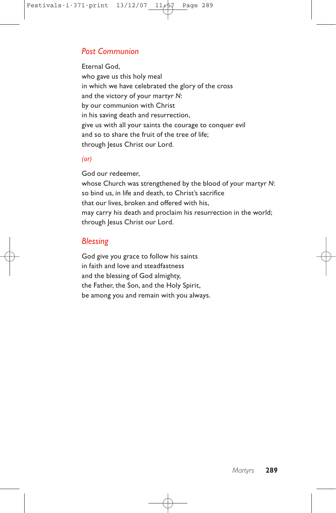## *Post Communion*

Eternal God, who gave us this holy meal in which we have celebrated the glory of the cross and the victory of your martyr *N*: by our communion with Christ in his saving death and resurrection, give us with all your saints the courage to conquer evil and so to share the fruit of the tree of life; through Jesus Christ our Lord.

#### *(or)*

God our redeemer,

whose Church was strengthened by the blood of your martyr *N*: so bind us, in life and death, to Christ's sacrifice that our lives, broken and offered with his, may carry his death and proclaim his resurrection in the world; through Jesus Christ our Lord.

## *Blessing*

God give you grace to follow his saints in faith and love and steadfastness and the blessing of God almighty, the Father, the Son, and the Holy Spirit, be among you and remain with you always.

*Martyrs* **289**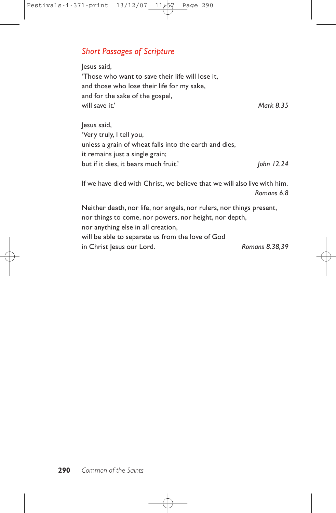## *Short Passages of Scripture*

lesus said. 'Those who want to save their life will lose it, and those who lose their life for my sake, and for the sake of the gospel, will save it.' **Mark 8.35** 

Jesus said, 'Very truly, I tell you, unless a grain of wheat falls into the earth and dies, it remains just a single grain; but if it dies, it bears much fruit.' *John 12.24*

If we have died with Christ, we believe that we will also live with him. *Romans 6.8*

Neither death, nor life, nor angels, nor rulers, nor things present, nor things to come, nor powers, nor height, nor depth, nor anything else in all creation, will be able to separate us from the love of God in Christ Jesus our Lord. *Romans 8.38,39*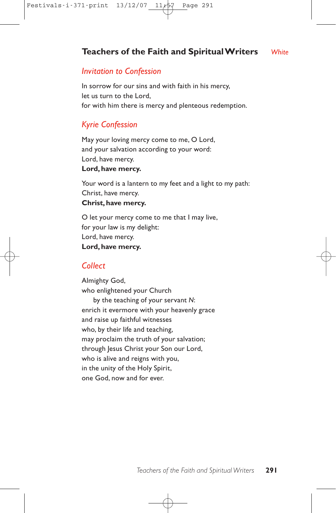## **Teachers of the Faith and Spiritual Writers** *White*

## *Invitation to Confession*

In sorrow for our sins and with faith in his mercy, let us turn to the Lord, for with him there is mercy and plenteous redemption.

## *Kyrie Confession*

May your loving mercy come to me, O Lord, and your salvation according to your word: Lord, have mercy. **Lord, have mercy.**

Your word is a lantern to my feet and a light to my path: Christ, have mercy. **Christ, have mercy.**

O let your mercy come to me that I may live, for your law is my delight: Lord, have mercy. **Lord, have mercy.**

## *Collect*

Almighty God, who enlightened your Church by the teaching of your servant *N*: enrich it evermore with your heavenly grace and raise up faithful witnesses who, by their life and teaching, may proclaim the truth of your salvation; through Jesus Christ your Son our Lord, who is alive and reigns with you, in the unity of the Holy Spirit, one God, now and for ever.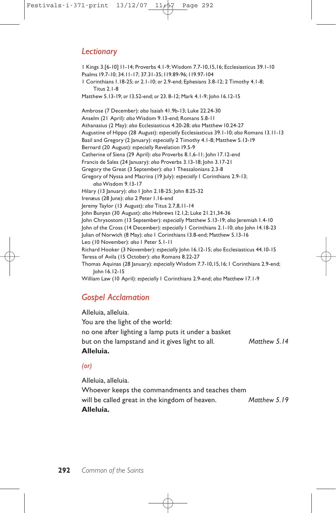## *Lectionary*

1 Kings 3.[6-10] 11-14; Proverbs 4.1-9; Wisdom 7.7-10,15,16; Ecclesiasticus 39.1-10 Psalms 19.7-10; 34.11-17; 37.31-35;119.89-96;119.97-104

1 Corinthians 1.18-25; *or* 2.1-10; *or* 2.9-end; Ephesians 3.8-12; 2 Timothy 4.1-8; Titus 2.1-8

Matthew 5.13-19; *or* 13.52-end; *or* 23. 8-12; Mark 4.1-9; John 16.12-15

Ambrose (7 December): *also* Isaiah 41.9b-13; Luke 22.24-30 Anselm (21 April): *also* Wisdom 9.13-end; Romans 5.8-11 Athanasius (2 May): *also* Ecclesiasticus 4.20-28; *also* Matthew 10.24-27 Augustine of Hippo (28 August): *especially* Ecclesiasticus 39.1-10; *also* Romans 13.11-13 Basil and Gregory (2 January): *especially* 2 Timothy 4.1-8; Matthew 5.13-19 Bernard (20 August): *especially* Revelation 19.5-9 Catherine of Siena (29 April): *also* Proverbs 8.1,6-11; John 17.12-end Francis de Sales (24 January): *also* Proverbs 3.13-18; John 3.17-21 Gregory the Great (3 September): *also* 1 Thessalonians 2.3-8 Gregory of Nyssa and Macrina (19 July): *especially* 1 Corinthians 2.9-13; *also* Wisdom 9.13-17 Hilary (13 January): *also* 1 John 2.18-25; John 8.25-32 Irenæus (28 June): *also* 2 Peter 1.16-end Jeremy Taylor (13 August): *also* Titus 2.7,8,11-14 John Bunyan (30 August): *also* Hebrews 12.1,2; Luke 21.21,34-36 John Chrysostom (13 September): *especially* Matthew 5.13-19; *also* Jeremiah 1.4-10 John of the Cross (14 December): *especially* 1 Corinthians 2.1-10; *also* John 14.18-23 Julian of Norwich (8 May): *also* 1 Corinthians 13.8-end; Matthew 5.13-16 Leo (10 November): *also* 1 Peter 5.1-11 Richard Hooker (3 November): *especially* John 16.12-15; *also* Ecclesiasticus 44.10-15 Teresa of Avila (15 October): *also* Romans 8.22-27 Thomas Aquinas (28 January): *especially* Wisdom 7.7-10,15,16;1 Corinthians 2.9-end; John 16.12-15 William Law (10 April): *especially* 1 Corinthians 2.9-end; *also* Matthew 17.1-9

## *Gospel Acclamation*

Alleluia, alleluia. You are the light of the world: no one after lighting a lamp puts it under a basket but on the lampstand and it gives light to all. *Matthew 5.14* **Alleluia.**

#### *(or)*

Alleluia, alleluia.

Whoever keeps the commandments and teaches them will be called great in the kingdom of heaven. *Matthew 5.19* **Alleluia.**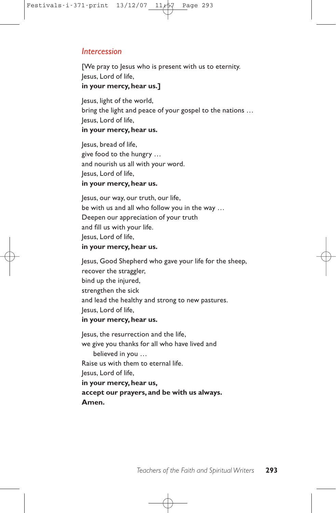## *Intercession*

[We pray to Jesus who is present with us to eternity. lesus, Lord of life, **in your mercy, hear us.]**

Jesus, light of the world, bring the light and peace of your gospel to the nations … Jesus, Lord of life,

## **in your mercy, hear us.**

Jesus, bread of life, give food to the hungry … and nourish us all with your word. Jesus, Lord of life, **in your mercy, hear us.**

Jesus, our way, our truth, our life, be with us and all who follow you in the way … Deepen our appreciation of your truth and fill us with your life. Jesus, Lord of life, **in your mercy, hear us.**

Jesus, Good Shepherd who gave your life for the sheep, recover the straggler, bind up the injured, strengthen the sick and lead the healthy and strong to new pastures. Jesus, Lord of life,

## **in your mercy, hear us.**

Jesus, the resurrection and the life, we give you thanks for all who have lived and believed in you … Raise us with them to eternal life. Jesus, Lord of life, **in your mercy, hear us, accept our prayers, and be with us always. Amen.**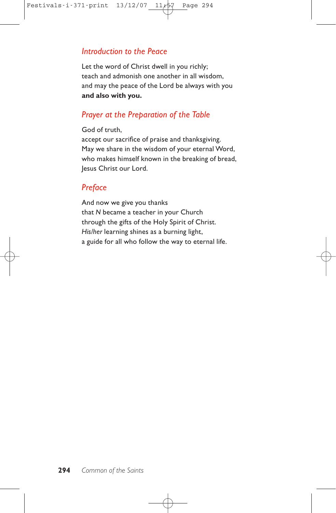## *Introduction to the Peace*

Let the word of Christ dwell in you richly; teach and admonish one another in all wisdom, and may the peace of the Lord be always with you **and also with you.**

## *Prayer at the Preparation of the Table*

God of truth,

accept our sacrifice of praise and thanksgiving. May we share in the wisdom of your eternal Word, who makes himself known in the breaking of bread, Jesus Christ our Lord.

### *Preface*

And now we give you thanks that *N* became a teacher in your Church through the gifts of the Holy Spirit of Christ. *His/her* learning shines as a burning light, a guide for all who follow the way to eternal life.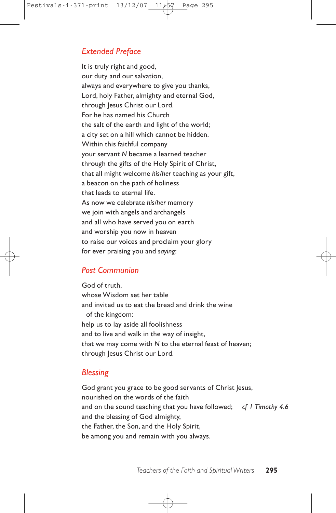## *Extended Preface*

It is truly right and good, our duty and our salvation, always and everywhere to give you thanks, Lord, holy Father, almighty and eternal God, through Jesus Christ our Lord. For he has named his Church the salt of the earth and light of the world; a city set on a hill which cannot be hidden. Within this faithful company your servant *N* became a learned teacher through the gifts of the Holy Spirit of Christ, that all might welcome *his/her* teaching as your gift, a beacon on the path of holiness that leads to eternal life. As now we celebrate *his/her* memory we join with angels and archangels and all who have served you on earth and worship you now in heaven to raise our voices and proclaim your glory for ever praising you and *saying*:

## *Post Communion*

God of truth, whose Wisdom set her table and invited us to eat the bread and drink the wine of the kingdom: help us to lay aside all foolishness and to live and walk in the way of insight, that we may come with *N* to the eternal feast of heaven; through Jesus Christ our Lord.

## *Blessing*

God grant you grace to be good servants of Christ Jesus, nourished on the words of the faith and on the sound teaching that you have followed; *cf 1 Timothy 4.6* and the blessing of God almighty, the Father, the Son, and the Holy Spirit, be among you and remain with you always.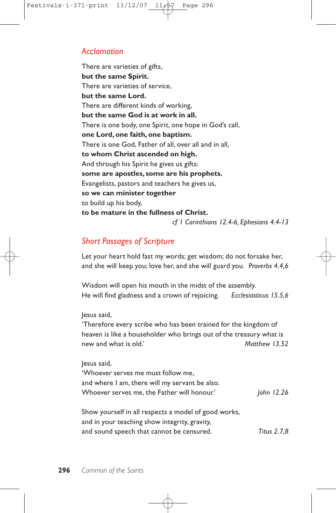## *Acclamation*

There are varieties of gifts, **but the same Spirit.** There are varieties of service, **but the same Lord.** There are different kinds of working, **but the same God is at work in all.** There is one body, one Spirit, one hope in God's call, **one Lord, one faith, one baptism.** There is one God, Father of all, over all and in all, **to whom Christ ascended on high.** And through his Spirit he gives us gifts: **some are apostles, some are his prophets.** Evangelists, pastors and teachers he gives us, **so we can minister together** to build up his body, **to be mature in the fullness of Christ.** *cf 1 Corinthians 12.4-6, Ephesians 4.4-13*

## *Short Passages of Scripture*

Let your heart hold fast my words; get wisdom; do not forsake her, and she will keep you; love her, and she will guard you. *Proverbs 4.4,6*

Wisdom will open his mouth in the midst of the assembly. He will find gladness and a crown of rejoicing. *Ecclesiasticus 15.5,6*

Jesus said,

'Therefore every scribe who has been trained for the kingdom of heaven is like a householder who brings out of the treasury what is new and what is old.' *Matthew 13.52*

#### Jesus said,

| 'Whoever serves me must follow me,                   |            |
|------------------------------------------------------|------------|
| and where I am, there will my servant be also.       |            |
| Whoever serves me, the Father will honour.'          | John 12.26 |
| Show yourself in all respects a model of good works, |            |
| and in your teaching show integrity, gravity,        |            |

and sound speech that cannot be censured. *Titus 2.7,8*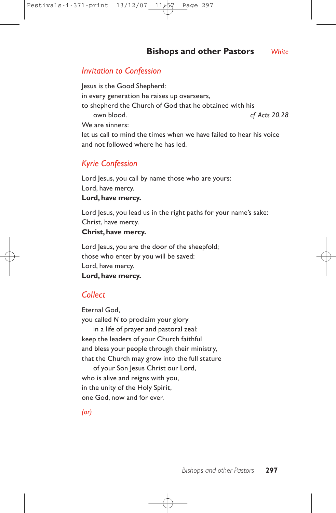## **Bishops and other Pastors** *White*

#### *Invitation to Confession*

Jesus is the Good Shepherd: in every generation he raises up overseers, to shepherd the Church of God that he obtained with his own blood. *cf Acts 20.28* We are sinners: let us call to mind the times when we have failed to hear his voice and not followed where he has led.

#### *Kyrie Confession*

Lord Jesus, you call by name those who are yours: Lord, have mercy. **Lord, have mercy.**

Lord Jesus, you lead us in the right paths for your name's sake: Christ, have mercy.

## **Christ, have mercy.**

Lord Jesus, you are the door of the sheepfold; those who enter by you will be saved: Lord, have mercy. **Lord, have mercy.**

## *Collect*

Eternal God, you called *N* to proclaim your glory in a life of prayer and pastoral zeal: keep the leaders of your Church faithful and bless your people through their ministry, that the Church may grow into the full stature of your Son Jesus Christ our Lord, who is alive and reigns with you,

in the unity of the Holy Spirit, one God, now and for ever.

*(or)*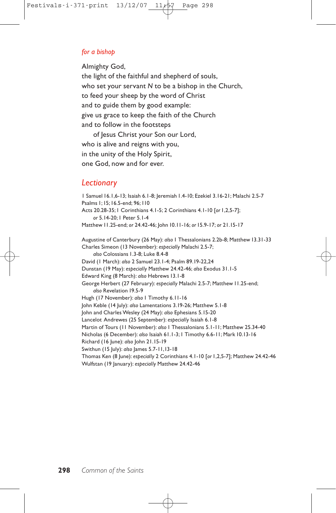#### *for a bishop*

Almighty God, the light of the faithful and shepherd of souls, who set your servant *N* to be a bishop in the Church, to feed your sheep by the word of Christ and to guide them by good example: give us grace to keep the faith of the Church and to follow in the footsteps

of Jesus Christ your Son our Lord, who is alive and reigns with you, in the unity of the Holy Spirit, one God, now and for ever.

#### *Lectionary*

1 Samuel 16.1,6-13; Isaiah 6.1-8; Jeremiah 1.4-10; Ezekiel 3.16-21; Malachi 2.5-7 Psalms 1;15;16.5-end; 96;110 Acts 20.28-35;1 Corinthians 4.1-5; 2 Corinthians 4.1-10 [*or* 1,2,5-7]; *or* 5.14-20;1 Peter 5.1-4 Matthew 11.25-end; *or* 24.42-46; John 10.11-16; *or* 15.9-17; *or* 21.15-17 Augustine of Canterbury (26 May): *also* 1 Thessalonians 2.2b-8; Matthew 13.31-33 Charles Simeon (13 November): *especially* Malachi 2.5-7; *also* Colossians 1.3-8; Luke 8.4-8 David (1 March): *also* 2 Samuel 23.1-4; Psalm 89.19-22,24 Dunstan (19 May): *especially* Matthew 24.42-46; *also* Exodus 31.1-5

Edward King (8 March): *also* Hebrews 13.1-8 George Herbert (27 February): *especially* Malachi 2.5-7; Matthew 11.25-end; *also* Revelation 19.5-9 Hugh (17 November): *also* 1 Timothy 6.11-16 John Keble (14 July): *also* Lamentations 3.19-26; Matthew 5.1-8 John and Charles Wesley (24 May): *also* Ephesians 5.15-20 Lancelot Andrewes (25 September): *especially* Isaiah 6.1-8 Martin of Tours (11 November): *also* 1 Thessalonians 5.1-11; Matthew 25.34-40 Nicholas (6 December): *also* Isaiah 61.1-3;1 Timothy 6.6-11; Mark 10.13-16 Richard (16 June): *also* John 21.15-19

Swithun (15 July): *also* James 5.7-11,13-18

Thomas Ken (8 June): *especially* 2 Corinthians 4.1-10 [*or* 1,2,5-7]; Matthew 24.42-46 Wulfstan (19 January): *especially* Matthew 24.42-46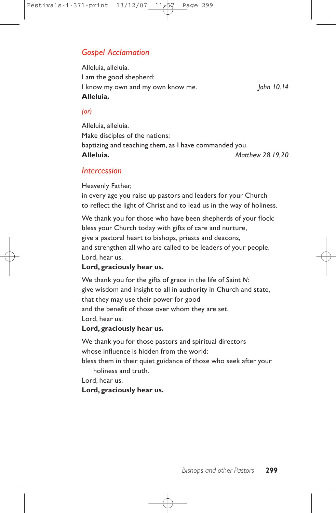## *Gospel Acclamation*

Alleluia, alleluia. I am the good shepherd: I know my own and my own know me. *John 10.14* **Alleluia.**

#### *(or)*

Alleluia, alleluia. Make disciples of the nations: baptizing and teaching them, as I have commanded you. **Alleluia.** *Matthew 28.19,20*

#### *Intercession*

Heavenly Father,

in every age you raise up pastors and leaders for your Church to reflect the light of Christ and to lead us in the way of holiness.

We thank you for those who have been shepherds of your flock: bless your Church today with gifts of care and nurture, give a pastoral heart to bishops, priests and deacons, and strengthen all who are called to be leaders of your people. Lord, hear us.

#### **Lord, graciously hear us.**

We thank you for the gifts of grace in the life of Saint *N*: give wisdom and insight to all in authority in Church and state, that they may use their power for good and the benefit of those over whom they are set. Lord, hear us.

#### **Lord, graciously hear us.**

We thank you for those pastors and spiritual directors whose influence is hidden from the world:

bless them in their quiet guidance of those who seek after your holiness and truth.

Lord, hear us.

#### **Lord, graciously hear us.**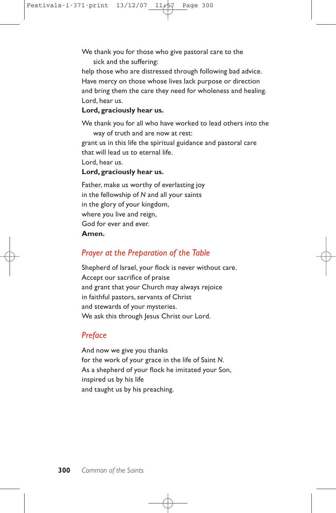We thank you for those who give pastoral care to the sick and the suffering:

help those who are distressed through following bad advice. Have mercy on those whose lives lack purpose or direction and bring them the care they need for wholeness and healing. Lord, hear us.

#### **Lord, graciously hear us.**

We thank you for all who have worked to lead others into the way of truth and are now at rest:

grant us in this life the spiritual guidance and pastoral care that will lead us to eternal life.

Lord, hear us.

#### **Lord, graciously hear us.**

Father, make us worthy of everlasting joy in the fellowship of *N* and all your saints in the glory of your kingdom, where you live and reign, God for ever and ever.

**Amen.**

## *Prayer at the Preparation of the Table*

Shepherd of Israel, your flock is never without care. Accept our sacrifice of praise and grant that your Church may always rejoice in faithful pastors, servants of Christ and stewards of your mysteries. We ask this through Jesus Christ our Lord.

## *Preface*

And now we give you thanks for the work of your grace in the life of Saint *N*. As a shepherd of your flock he imitated your Son, inspired us by his life and taught us by his preaching.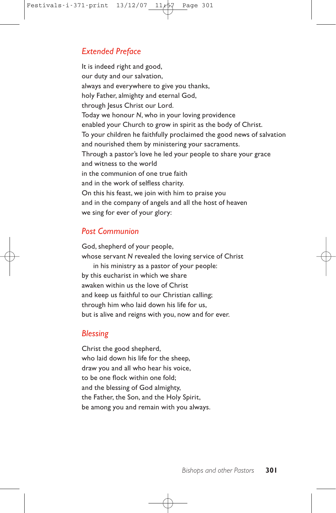## *Extended Preface*

It is indeed right and good, our duty and our salvation, always and everywhere to give you thanks, holy Father, almighty and eternal God, through Jesus Christ our Lord. Today we honour *N*, who in your loving providence enabled your Church to grow in spirit as the body of Christ. To your children he faithfully proclaimed the good news of salvation and nourished them by ministering your sacraments. Through a pastor's love he led your people to share your grace and witness to the world in the communion of one true faith and in the work of selfless charity. On this his feast, we join with him to praise you and in the company of angels and all the host of heaven we sing for ever of your glory:

## *Post Communion*

God, shepherd of your people, whose servant *N* revealed the loving service of Christ in his ministry as a pastor of your people: by this eucharist in which we share awaken within us the love of Christ and keep us faithful to our Christian calling; through him who laid down his life for us, but is alive and reigns with you, now and for ever.

## *Blessing*

Christ the good shepherd, who laid down his life for the sheep, draw you and all who hear his voice, to be one flock within one fold; and the blessing of God almighty, the Father, the Son, and the Holy Spirit, be among you and remain with you always.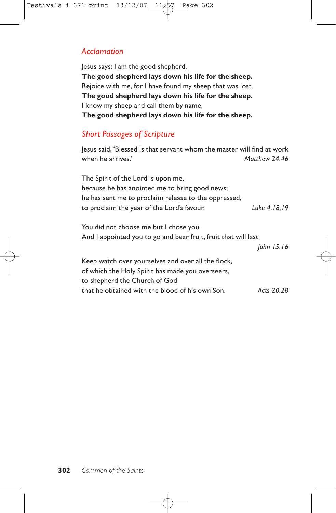## *Acclamation*

Jesus says: I am the good shepherd. **The good shepherd lays down his life for the sheep.** Rejoice with me, for I have found my sheep that was lost. **The good shepherd lays down his life for the sheep.** I know my sheep and call them by name. **The good shepherd lays down his life for the sheep.**

## *Short Passages of Scripture*

Jesus said, 'Blessed is that servant whom the master will find at work when he arrives.<sup>'</sup> *Matthew 24.46* The Spirit of the Lord is upon me, because he has anointed me to bring good news; he has sent me to proclaim release to the oppressed, to proclaim the year of the Lord's favour. *Luke 4.18,19* You did not choose me but I chose you. And I appointed you to go and bear fruit, fruit that will last. *John 15.16* Keep watch over yourselves and over all the flock, of which the Holy Spirit has made you overseers, to shepherd the Church of God that he obtained with the blood of his own Son. *Acts 20.28*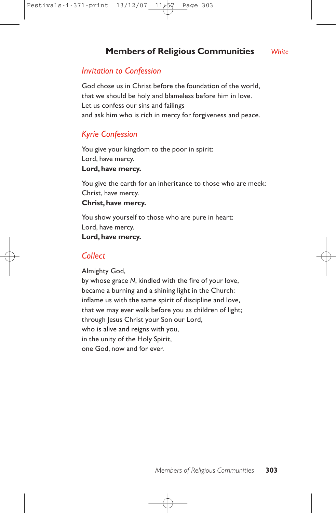## **Members of Religious Communities** *White*

### *Invitation to Confession*

God chose us in Christ before the foundation of the world, that we should be holy and blameless before him in love. Let us confess our sins and failings and ask him who is rich in mercy for forgiveness and peace.

## *Kyrie Confession*

You give your kingdom to the poor in spirit: Lord, have mercy. **Lord, have mercy.**

You give the earth for an inheritance to those who are meek: Christ, have mercy. **Christ, have mercy.**

You show yourself to those who are pure in heart: Lord, have mercy. **Lord, have mercy.**

## *Collect*

Almighty God,

by whose grace *N*, kindled with the fire of your love, became a burning and a shining light in the Church: inflame us with the same spirit of discipline and love, that we may ever walk before you as children of light; through Jesus Christ your Son our Lord, who is alive and reigns with you, in the unity of the Holy Spirit, one God, now and for ever.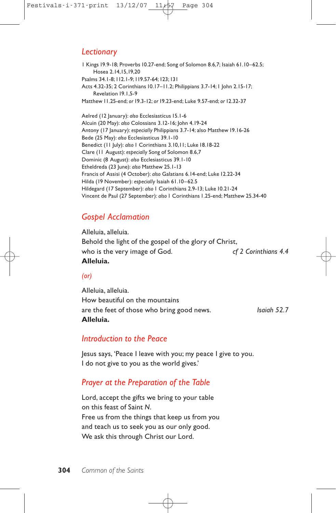## *Lectionary*

1 Kings 19.9-18; Proverbs 10.27-end; Song of Solomon 8.6,7; Isaiah 61.10–62.5; Hosea 2.14,15,19,20 Psalms 34.1-8;112.1-9;119.57-64;123;131 Acts 4.32-35; 2 Corinthians 10.17–11.2; Philippians 3.7-14;1 John 2.15-17; Revelation 19.1,5-9 Matthew 11.25-end; *or* 19.3-12; *or* 19.23-end; Luke 9.57-end; *or* 12.32-37

Aelred (12 January): *also* Ecclesiasticus 15.1-6 Alcuin (20 May): *also* Colossians 3.12-16; John 4.19-24 Antony (17 January): *especially* Philippians 3.7-14; also Matthew 19.16-26 Bede (25 May): *also* Ecclesiasticus 39.1-10 Benedict (11 July): *also* 1 Corinthians 3.10,11; Luke 18.18-22 Clare (11 August): *especially* Song of Solomon 8.6,7 Dominic (8 August): *also* Ecclesiasticus 39.1-10 Etheldreda (23 June): *also* Matthew 25.1-13 Francis of Assisi (4 October): *also* Galatians 6.14-end; Luke 12.22-34 Hilda (19 November): *especially* Isaiah 61.10–62.5 Hildegard (17 September): *also* 1 Corinthians 2.9-13; Luke 10.21-24 Vincent de Paul (27 September): *also* 1 Corinthians 1.25-end; Matthew 25.34-40

## *Gospel Acclamation*

Alleluia, alleluia. Behold the light of the gospel of the glory of Christ, who is the very image of God. *cf 2 Corinthians 4.4* **Alleluia.**

#### *(or)*

Alleluia, alleluia. How beautiful on the mountains are the feet of those who bring good news. *Isaiah 52.7* **Alleluia.**

### *Introduction to the Peace*

Jesus says, 'Peace I leave with you; my peace I give to you. I do not give to you as the world gives.'

## *Prayer at the Preparation of the Table*

Lord, accept the gifts we bring to your table on this feast of Saint *N*. Free us from the things that keep us from you and teach us to seek you as our only good. We ask this through Christ our Lord.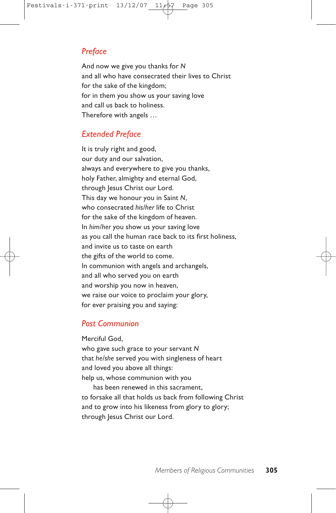## *Preface*

And now we give you thanks for *N* and all who have consecrated their lives to Christ for the sake of the kingdom; for in them you show us your saving love and call us back to holiness. Therefore with angels …

## *Extended Preface*

It is truly right and good, our duty and our salvation, always and everywhere to give you thanks, holy Father, almighty and eternal God, through Jesus Christ our Lord. This day we honour you in Saint *N*, who consecrated *his/her* life to Christ for the sake of the kingdom of heaven. In *him/her* you show us your saving love as you call the human race back to its first holiness, and invite us to taste on earth the gifts of the world to come. In communion with angels and archangels, and all who served you on earth and worship you now in heaven, we raise our voice to proclaim your glory, for ever praising you and saying:

## *Post Communion*

Merciful God, who gave such grace to your servant *N* that *he/she* served you with singleness of heart and loved you above all things: help us, whose communion with you

has been renewed in this sacrament, to forsake all that holds us back from following Christ and to grow into his likeness from glory to glory; through Jesus Christ our Lord.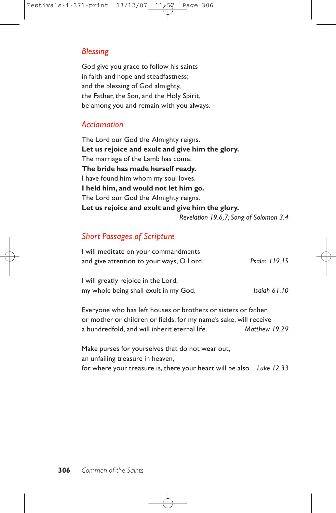## *Blessing*

God give you grace to follow his saints in faith and hope and steadfastness; and the blessing of God almighty, the Father, the Son, and the Holy Spirit, be among you and remain with you always.

## *Acclamation*

The Lord our God the Almighty reigns. **Let us rejoice and exult and give him the glory.** The marriage of the Lamb has come. **The bride has made herself ready.** I have found him whom my soul loves. **I held him, and would not let him go.** The Lord our God the Almighty reigns. **Let us rejoice and exult and give him the glory.**

*Revelation 19.6,7; Song of Solomon 3.4*

## *Short Passages of Scripture*

| I will meditate on your commandments     |              |
|------------------------------------------|--------------|
| and give attention to your ways, O Lord. | Psalm 119.15 |
|                                          |              |

| I will greatly rejoice in the Lord,   |              |
|---------------------------------------|--------------|
| my whole being shall exult in my God. | Isaiah 61.10 |

Everyone who has left houses or brothers or sisters or father or mother or children or fields, for my name's sake, will receive a hundredfold, and will inherit eternal life. *Matthew 19.29*

Make purses for yourselves that do not wear out, an unfailing treasure in heaven, for where your treasure is, there your heart will be also. *Luke 12.33*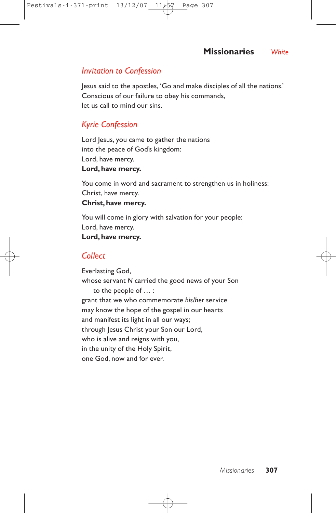## **Missionaries** *White*

## *Invitation to Confession*

Jesus said to the apostles, 'Go and make disciples of all the nations.' Conscious of our failure to obey his commands, let us call to mind our sins.

## *Kyrie Confession*

Lord Jesus, you came to gather the nations into the peace of God's kingdom: Lord, have mercy. **Lord, have mercy.**

You come in word and sacrament to strengthen us in holiness: Christ, have mercy. **Christ, have mercy.**

You will come in glory with salvation for your people: Lord, have mercy. **Lord, have mercy.**

## *Collect*

Everlasting God, whose servant *N* carried the good news of your Son to the people of … : grant that we who commemorate *his/her* service may know the hope of the gospel in our hearts and manifest its light in all our ways; through Jesus Christ your Son our Lord, who is alive and reigns with you, in the unity of the Holy Spirit, one God, now and for ever.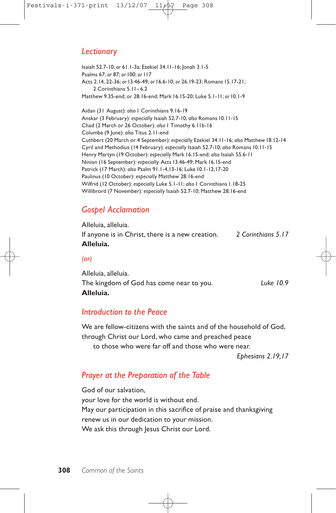## *Lectionary*

Isaiah 52.7-10; *or* 61.1-3a; Ezekiel 34.11-16; Jonah 3.1-5 Psalms 67; *or* 87; *or* 100; *or* 117 Acts 2.14, 22-36; *or* 13.46-49; *or* 16.6-10; *or* 26.19-23; Romans 15.17-21; 2 Corinthians 5.11-6.2 Matthew 9.35-end; or 28.16-end; Mark 16.15-20; Luke 5.1-11; *or* 10.1-9

Aidan (31 August): *also* 1 Corinthians 9.16-19 Anskar (3 February): *especially* Isaiah 52.7-10; *also* Romans 10.11-15 Chad (2 March or 26 October): *also* 1 Timothy 6.11b-16 Columba (9 June): *also* Titus 2.11-end Cuthbert (20 March or 4 September): *especially* Ezekiel 34.11-16; *also* Matthew 18.12-14 Cyril and Methodius (14 February): *especially* Isaiah 52.7-10; *also* Romans 10.11-15 Henry Martyn (19 October): *especially* Mark 16.15-end; *also* Isaiah 55.6-11 Ninian (16 September): *especially* Acts 13.46-49; Mark 16.15-end Patrick (17 March): *also* Psalm 91.1-4,13-16; Luke 10.1-12,17-20 Paulinus (10 October): *especially* Matthew 28.16-end Wilfrid (12 October): *especially* Luke 5.1-11; *also* 1 Corinthians 1.18-25 Willibrord (7 November): *especially* Isaiah 52.7-10; Matthew 28.16-end

## *Gospel Acclamation*

Alleluia, alleluia. If anyone is in Christ, there is a new creation. *2 Corinthians 5.17* **Alleluia.**

#### *(or)*

Alleluia, alleluia. The kingdom of God has come near to you. *Luke 10.9* **Alleluia.**

## *Introduction to the Peace*

We are fellow-citizens with the saints and of the household of God, through Christ our Lord, who came and preached peace

to those who were far off and those who were near.

*Ephesians 2.19,17*

## *Prayer at the Preparation of the Table*

God of our salvation, your love for the world is without end. May our participation in this sacrifice of praise and thanksgiving renew us in our dedication to your mission. We ask this through Jesus Christ our Lord.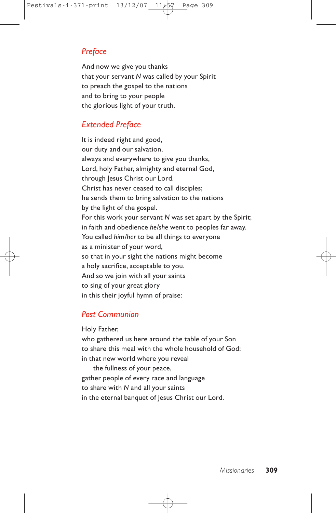## *Preface*

And now we give you thanks that your servant *N* was called by your Spirit to preach the gospel to the nations and to bring to your people the glorious light of your truth.

## *Extended Preface*

It is indeed right and good, our duty and our salvation, always and everywhere to give you thanks, Lord, holy Father, almighty and eternal God, through Jesus Christ our Lord. Christ has never ceased to call disciples; he sends them to bring salvation to the nations by the light of the gospel. For this work your servant *N* was set apart by the Spirit; in faith and obedience *he/she* went to peoples far away. You called *him/her* to be all things to everyone as a minister of your word, so that in your sight the nations might become a holy sacrifice, acceptable to you. And so we join with all your saints to sing of your great glory in this their joyful hymn of praise:

## *Post Communion*

Holy Father,

who gathered us here around the table of your Son to share this meal with the whole household of God: in that new world where you reveal

the fullness of your peace, gather people of every race and language to share with *N* and all your saints in the eternal banquet of Jesus Christ our Lord.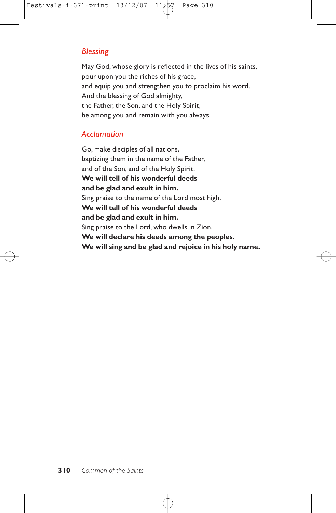## *Blessing*

May God, whose glory is reflected in the lives of his saints, pour upon you the riches of his grace, and equip you and strengthen you to proclaim his word. And the blessing of God almighty, the Father, the Son, and the Holy Spirit, be among you and remain with you always.

## *Acclamation*

Go, make disciples of all nations, baptizing them in the name of the Father, and of the Son, and of the Holy Spirit. **We will tell of his wonderful deeds and be glad and exult in him.** Sing praise to the name of the Lord most high. **We will tell of his wonderful deeds and be glad and exult in him.** Sing praise to the Lord, who dwells in Zion. **We will declare his deeds among the peoples. We will sing and be glad and rejoice in his holy name.**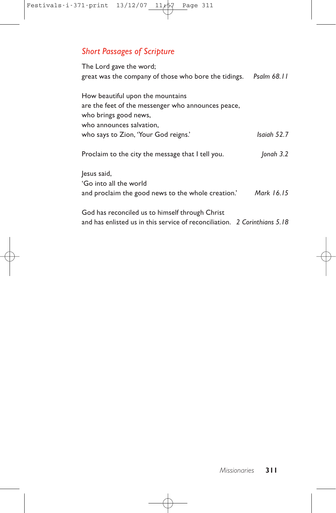# *Short Passages of Scripture*

| The Lord gave the word;                                                   |             |
|---------------------------------------------------------------------------|-------------|
| great was the company of those who bore the tidings.                      | Psalm 68.11 |
| How beautiful upon the mountains                                          |             |
| are the feet of the messenger who announces peace,                        |             |
| who brings good news,                                                     |             |
| who announces salvation.                                                  |             |
| who says to Zion, 'Your God reigns.'                                      | Isaiah 52.7 |
| Proclaim to the city the message that I tell you.                         | Jonah $3.2$ |
| lesus said,                                                               |             |
| 'Go into all the world                                                    |             |
| and proclaim the good news to the whole creation.                         | Mark 16.15  |
| God has reconciled us to himself through Christ                           |             |
| and has enlisted us in this service of reconciliation. 2 Corinthians 5.18 |             |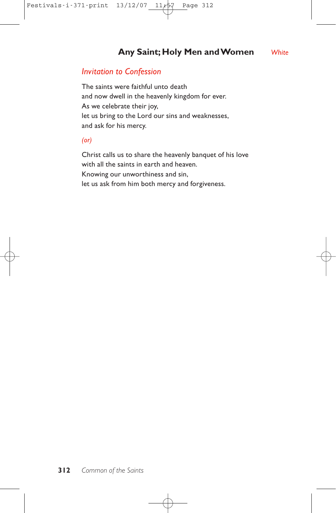## **Any Saint; Holy Men and Women** *White*

## *Invitation to Confession*

The saints were faithful unto death and now dwell in the heavenly kingdom for ever. As we celebrate their joy, let us bring to the Lord our sins and weaknesses, and ask for his mercy.

#### *(or)*

Christ calls us to share the heavenly banquet of his love with all the saints in earth and heaven. Knowing our unworthiness and sin, let us ask from him both mercy and forgiveness.

#### **312** *Common of the Saints*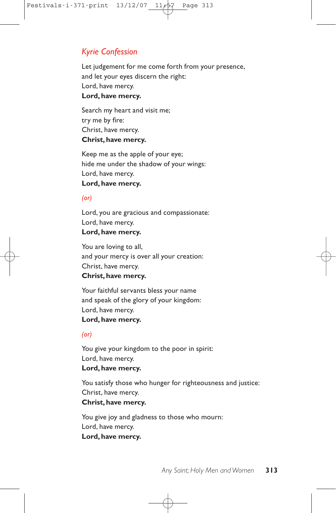## *Kyrie Confession*

Let judgement for me come forth from your presence, and let your eyes discern the right: Lord, have mercy. **Lord, have mercy.**

Search my heart and visit me; try me by fire: Christ, have mercy. **Christ, have mercy.**

Keep me as the apple of your eye; hide me under the shadow of your wings: Lord, have mercy. **Lord, have mercy.**

#### *(or)*

Lord, you are gracious and compassionate: Lord, have mercy. **Lord, have mercy.**

You are loving to all, and your mercy is over all your creation: Christ, have mercy. **Christ, have mercy.**

Your faithful servants bless your name and speak of the glory of your kingdom: Lord, have mercy. **Lord, have mercy.**

#### *(or)*

You give your kingdom to the poor in spirit: Lord, have mercy. **Lord, have mercy.**

You satisfy those who hunger for righteousness and justice: Christ, have mercy. **Christ, have mercy.**

You give joy and gladness to those who mourn: Lord, have mercy. **Lord, have mercy.**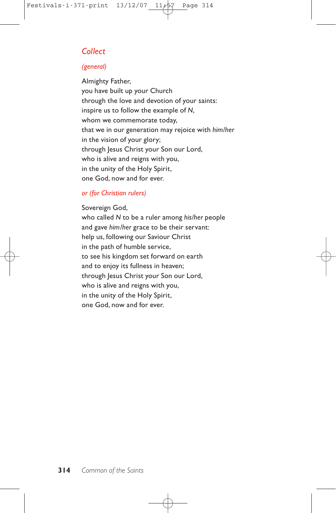## *Collect*

#### *(general)*

Almighty Father, you have built up your Church through the love and devotion of your saints: inspire us to follow the example of *N*, whom we commemorate today, that we in our generation may rejoice with *him/her* in the vision of your glory; through Jesus Christ your Son our Lord, who is alive and reigns with you, in the unity of the Holy Spirit, one God, now and for ever.

#### *or (for Christian rulers)*

Sovereign God, who called *N* to be a ruler among *his/her* people and gave *him/her* grace to be their servant: help us, following our Saviour Christ in the path of humble service, to see his kingdom set forward on earth and to enjoy its fullness in heaven; through Jesus Christ your Son our Lord, who is alive and reigns with you, in the unity of the Holy Spirit, one God, now and for ever.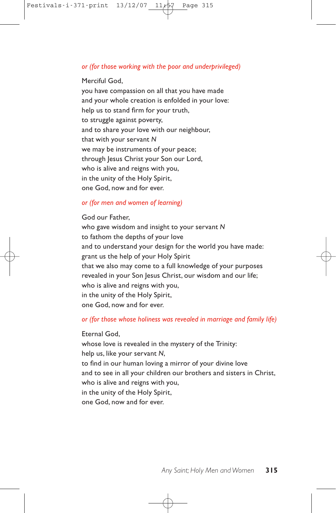#### *or (for those working with the poor and underprivileged)*

Merciful God, you have compassion on all that you have made and your whole creation is enfolded in your love: help us to stand firm for your truth, to struggle against poverty, and to share your love with our neighbour, that with your servant *N* we may be instruments of your peace; through Jesus Christ your Son our Lord, who is alive and reigns with you, in the unity of the Holy Spirit, one God, now and for ever.

## *or (for men and women of learning)*

God our Father, who gave wisdom and insight to your servant *N* to fathom the depths of your love and to understand your design for the world you have made: grant us the help of your Holy Spirit that we also may come to a full knowledge of your purposes revealed in your Son Jesus Christ, our wisdom and our life; who is alive and reigns with you, in the unity of the Holy Spirit, one God, now and for ever.

#### *or (for those whose holiness was revealed in marriage and family life)*

Eternal God, whose love is revealed in the mystery of the Trinity: help us, like your servant *N*, to find in our human loving a mirror of your divine love and to see in all your children our brothers and sisters in Christ, who is alive and reigns with you, in the unity of the Holy Spirit, one God, now and for ever.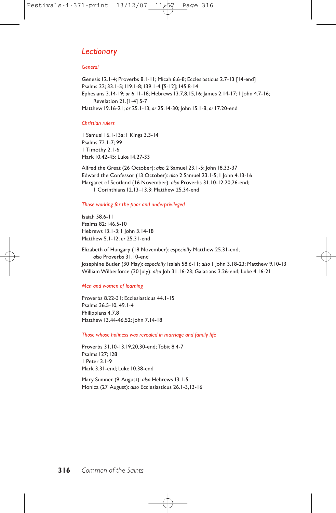## *Lectionary*

#### *General*

Genesis 12.1-4; Proverbs 8.1-11; Micah 6.6-8; Ecclesiasticus 2.7-13 [14-end] Psalms 32; 33.1-5;119.1-8;139.1-4 [5-12];145.8-14 Ephesians 3.14-19; *or* 6.11-18; Hebrews 13.7,8,15,16; James 2.14-17;1 John 4.7-16; Revelation 21.[1-4] 5-7 Matthew 19.16-21; *or* 25.1-13; *or* 25.14-30; John 15.1-8; *or* 17.20-end

*Christian rulers*

1 Samuel 16.1-13a;1 Kings 3.3-14 Psalms 72.1-7; 99 1 Timothy 2.1-6 Mark 10.42-45; Luke 14.27-33

Alfred the Great (26 October): *also* 2 Samuel 23.1-5; John 18.33-37 Edward the Confessor (13 October): *also* 2 Samuel 23.1-5;1 John 4.13-16 Margaret of Scotland (16 November): *also* Proverbs 31.10-12,20,26-end; 1 Corinthians 12.13–13.3; Matthew 25.34-end

*Those working for the poor and underprivileged*

Isaiah 58.6-11 Psalms 82;146.5-10 Hebrews 13.1-3;1 John 3.14-18 Matthew 5.1-12; *or* 25.31-end

Elizabeth of Hungary (18 November): *especially* Matthew 25.31-end; *also* Proverbs 31.10-end Josephine Butler (30 May): *especially* Isaiah 58.6-11; *also* 1 John 3.18-23; Matthew 9.10-13 William Wilberforce (30 July): *also* Job 31.16-23; Galatians 3.26-end; Luke 4.16-21

#### *Men and women of learning*

Proverbs 8.22-31; Ecclesiasticus 44.1-15 Psalms 36.5-10; 49.1-4 Philippians 4.7,8 Matthew 13.44-46,52; John 7.14-18

*Those whose holiness was revealed in marriage and family life*

Proverbs 31.10-13,19,20,30-end; Tobit 8.4-7 Psalms 127;128 1 Peter 3.1-9 Mark 3.31-end; Luke 10.38-end

Mary Sumner (9 August): *also* Hebrews 13.1-5 Monica (27 August): *also* Ecclesiasticus 26.1-3,13-16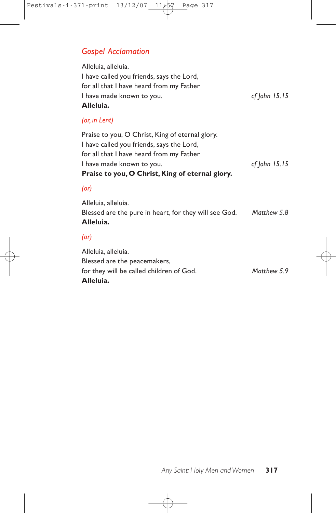## *Gospel Acclamation*

| Alleluia.                                 |                 |
|-------------------------------------------|-----------------|
| I have made known to you.                 | $cf$ John 15.15 |
| for all that I have heard from my Father  |                 |
| I have called you friends, says the Lord, |                 |
| Alleluia, alleluia.                       |                 |

#### *(or, in Lent)*

Praise to you, O Christ, King of eternal glory. I have called you friends, says the Lord, for all that I have heard from my Father I have made known to you. *cf John 15.15* **Praise to you, O Christ, King of eternal glory.**

#### *(or)*

Alleluia, alleluia. Blessed are the pure in heart, for they will see God. *Matthew 5.8* **Alleluia.**

#### *(or)*

Alleluia, alleluia. Blessed are the peacemakers, for they will be called children of God. *Matthew 5.9* **Alleluia.**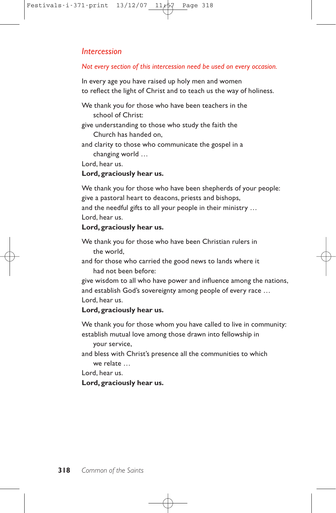## *Intercession*

#### *Not every section of this intercession need be used on every occasion.*

In every age you have raised up holy men and women to reflect the light of Christ and to teach us the way of holiness.

We thank you for those who have been teachers in the school of Christ:

give understanding to those who study the faith the Church has handed on,

and clarity to those who communicate the gospel in a changing world …

Lord, hear us.

### **Lord, graciously hear us.**

We thank you for those who have been shepherds of your people: give a pastoral heart to deacons, priests and bishops, and the needful gifts to all your people in their ministry … Lord, hear us.

#### **Lord, graciously hear us.**

We thank you for those who have been Christian rulers in the world,

and for those who carried the good news to lands where it had not been before:

give wisdom to all who have power and influence among the nations, and establish God's sovereignty among people of every race … Lord, hear us.

#### **Lord, graciously hear us.**

We thank you for those whom you have called to live in community: establish mutual love among those drawn into fellowship in

your service,

and bless with Christ's presence all the communities to which we relate …

Lord, hear us.

## **Lord, graciously hear us.**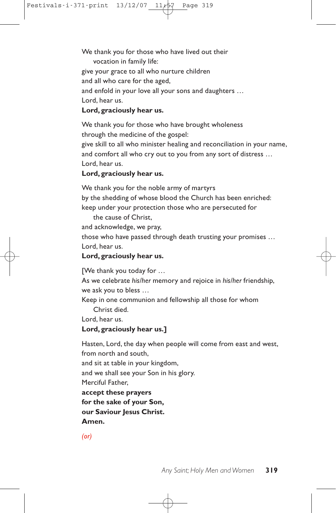We thank you for those who have lived out their vocation in family life: give your grace to all who nurture children and all who care for the aged, and enfold in your love all your sons and daughters … Lord, hear us.

## **Lord, graciously hear us.**

We thank you for those who have brought wholeness through the medicine of the gospel: give skill to all who minister healing and reconciliation in your name, and comfort all who cry out to you from any sort of distress … Lord, hear us.

#### **Lord, graciously hear us.**

We thank you for the noble army of martyrs by the shedding of whose blood the Church has been enriched: keep under your protection those who are persecuted for

the cause of Christ,

and acknowledge, we pray,

those who have passed through death trusting your promises … Lord, hear us.

#### **Lord, graciously hear us.**

[We thank you today for …

As we celebrate *his/her* memory and rejoice in *his/her* friendship, we ask you to bless …

Keep in one communion and fellowship all those for whom Christ died.

Lord, hear us.

#### **Lord, graciously hear us.]**

Hasten, Lord, the day when people will come from east and west, from north and south, and sit at table in your kingdom, and we shall see your Son in his glory. Merciful Father, **accept these prayers for the sake of your Son, our Saviour Jesus Christ. Amen.**

*(or)*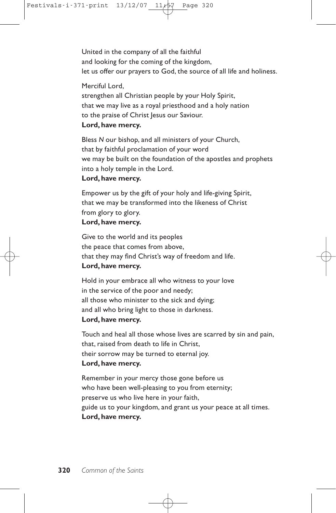United in the company of all the faithful and looking for the coming of the kingdom, let us offer our prayers to God, the source of all life and holiness.

#### Merciful Lord,

strengthen all Christian people by your Holy Spirit, that we may live as a royal priesthood and a holy nation to the praise of Christ Jesus our Saviour. **Lord, have mercy.**

Bless *N* our bishop, and all ministers of your Church, that by faithful proclamation of your word we may be built on the foundation of the apostles and prophets into a holy temple in the Lord. **Lord, have mercy.**

Empower us by the gift of your holy and life-giving Spirit, that we may be transformed into the likeness of Christ from glory to glory.

## **Lord, have mercy.**

Give to the world and its peoples the peace that comes from above, that they may find Christ's way of freedom and life. **Lord, have mercy.**

Hold in your embrace all who witness to your love in the service of the poor and needy; all those who minister to the sick and dying; and all who bring light to those in darkness. **Lord, have mercy.**

Touch and heal all those whose lives are scarred by sin and pain, that, raised from death to life in Christ, their sorrow may be turned to eternal joy. **Lord, have mercy.**

Remember in your mercy those gone before us who have been well-pleasing to you from eternity; preserve us who live here in your faith, guide us to your kingdom, and grant us your peace at all times. **Lord, have mercy.**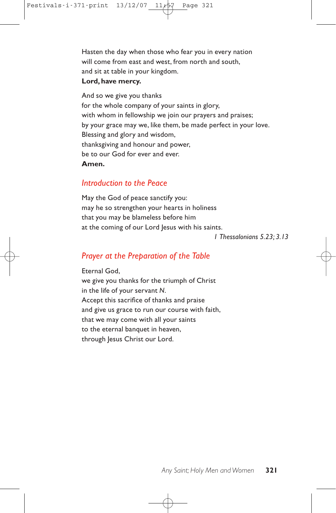Hasten the day when those who fear you in every nation will come from east and west, from north and south, and sit at table in your kingdom.

#### **Lord, have mercy.**

And so we give you thanks for the whole company of your saints in glory, with whom in fellowship we join our prayers and praises; by your grace may we, like them, be made perfect in your love. Blessing and glory and wisdom, thanksgiving and honour and power, be to our God for ever and ever. **Amen.**

## *Introduction to the Peace*

May the God of peace sanctify you: may he so strengthen your hearts in holiness that you may be blameless before him at the coming of our Lord Jesus with his saints.

*1 Thessalonians 5.23; 3.13*

## *Prayer at the Preparation of the Table*

Eternal God, we give you thanks for the triumph of Christ in the life of your servant *N*. Accept this sacrifice of thanks and praise and give us grace to run our course with faith, that we may come with all your saints to the eternal banquet in heaven, through Jesus Christ our Lord.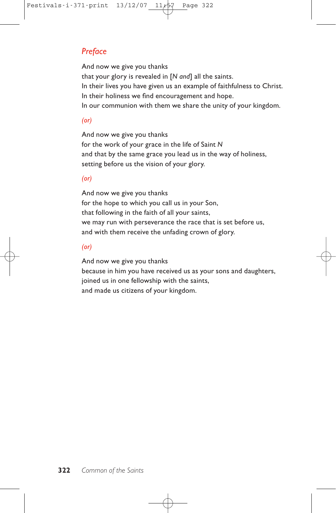## *Preface*

And now we give you thanks that your glory is revealed in [*N and*] all the saints. In their lives you have given us an example of faithfulness to Christ. In their holiness we find encouragement and hope. In our communion with them we share the unity of your kingdom.

#### *(or)*

And now we give you thanks for the work of your grace in the life of Saint *N* and that by the same grace you lead us in the way of holiness, setting before us the vision of your glory.

#### *(or)*

And now we give you thanks for the hope to which you call us in your Son, that following in the faith of all your saints, we may run with perseverance the race that is set before us, and with them receive the unfading crown of glory.

#### *(or)*

And now we give you thanks because in him you have received us as your sons and daughters, joined us in one fellowship with the saints, and made us citizens of your kingdom.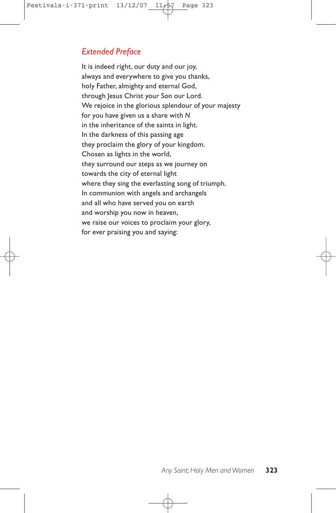## *Extended Preface*

It is indeed right, our duty and our joy, always and everywhere to give you thanks, holy Father, almighty and eternal God, through Jesus Christ your Son our Lord. We rejoice in the glorious splendour of your majesty for you have given us a share with *N* in the inheritance of the saints in light. In the darkness of this passing age they proclaim the glory of your kingdom. Chosen as lights in the world, they surround our steps as we journey on towards the city of eternal light where they sing the everlasting song of triumph. In communion with angels and archangels and all who have served you on earth and worship you now in heaven, we raise our voices to proclaim your glory, for ever praising you and saying: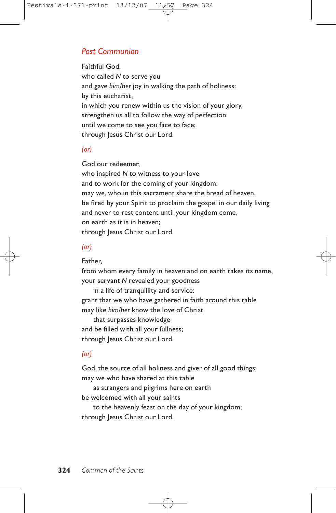## *Post Communion*

Faithful God, who called *N* to serve you and gave *him/her* joy in walking the path of holiness: by this eucharist, in which you renew within us the vision of your glory, strengthen us all to follow the way of perfection until we come to see you face to face; through Jesus Christ our Lord.

## *(or)*

God our redeemer, who inspired *N* to witness to your love and to work for the coming of your kingdom: may we, who in this sacrament share the bread of heaven, be fired by your Spirit to proclaim the gospel in our daily living and never to rest content until your kingdom come, on earth as it is in heaven; through Jesus Christ our Lord.

#### *(or)*

#### Father,

from whom every family in heaven and on earth takes its name, your servant *N* revealed your goodness

in a life of tranquillity and service: grant that we who have gathered in faith around this table may like *him/her* know the love of Christ

that surpasses knowledge and be filled with all your fullness; through Jesus Christ our Lord.

#### *(or)*

God, the source of all holiness and giver of all good things: may we who have shared at this table

as strangers and pilgrims here on earth be welcomed with all your saints

to the heavenly feast on the day of your kingdom; through Jesus Christ our Lord.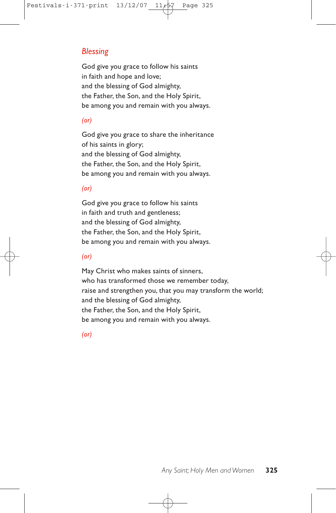## *Blessing*

God give you grace to follow his saints in faith and hope and love; and the blessing of God almighty, the Father, the Son, and the Holy Spirit, be among you and remain with you always.

#### *(or)*

God give you grace to share the inheritance of his saints in glory; and the blessing of God almighty, the Father, the Son, and the Holy Spirit, be among you and remain with you always.

#### *(or)*

God give you grace to follow his saints in faith and truth and gentleness; and the blessing of God almighty, the Father, the Son, and the Holy Spirit, be among you and remain with you always.

#### *(or)*

May Christ who makes saints of sinners, who has transformed those we remember today, raise and strengthen you, that you may transform the world; and the blessing of God almighty, the Father, the Son, and the Holy Spirit, be among you and remain with you always.

*(or)*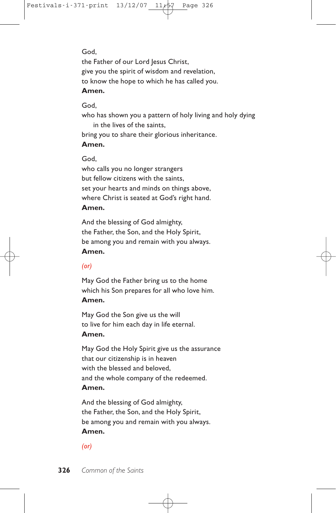## God,

the Father of our Lord Jesus Christ, give you the spirit of wisdom and revelation, to know the hope to which he has called you. **Amen.**

#### God,

who has shown you a pattern of holy living and holy dying in the lives of the saints,

bring you to share their glorious inheritance.

#### **Amen.**

God,

who calls you no longer strangers but fellow citizens with the saints, set your hearts and minds on things above, where Christ is seated at God's right hand. **Amen.**

And the blessing of God almighty, the Father, the Son, and the Holy Spirit, be among you and remain with you always. **Amen.**

#### *(or)*

May God the Father bring us to the home which his Son prepares for all who love him. **Amen.**

May God the Son give us the will to live for him each day in life eternal. **Amen.**

May God the Holy Spirit give us the assurance that our citizenship is in heaven with the blessed and beloved, and the whole company of the redeemed. **Amen.**

And the blessing of God almighty, the Father, the Son, and the Holy Spirit, be among you and remain with you always. **Amen.**

*(or)*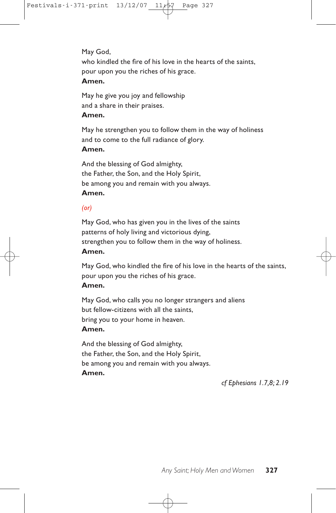## May God,

who kindled the fire of his love in the hearts of the saints, pour upon you the riches of his grace. **Amen.**

May he give you joy and fellowship and a share in their praises.

## **Amen.**

May he strengthen you to follow them in the way of holiness and to come to the full radiance of glory.

## **Amen.**

And the blessing of God almighty, the Father, the Son, and the Holy Spirit, be among you and remain with you always. **Amen.**

#### *(or)*

May God, who has given you in the lives of the saints patterns of holy living and victorious dying, strengthen you to follow them in the way of holiness. **Amen.**

May God, who kindled the fire of his love in the hearts of the saints, pour upon you the riches of his grace. **Amen.**

May God, who calls you no longer strangers and aliens but fellow-citizens with all the saints, bring you to your home in heaven. **Amen.**

And the blessing of God almighty, the Father, the Son, and the Holy Spirit, be among you and remain with you always. **Amen.**

*cf Ephesians 1.7,8; 2.19*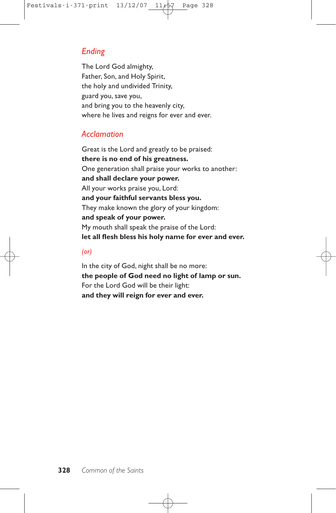## *Ending*

The Lord God almighty, Father, Son, and Holy Spirit, the holy and undivided Trinity, guard you, save you, and bring you to the heavenly city, where he lives and reigns for ever and ever.

## *Acclamation*

Great is the Lord and greatly to be praised: **there is no end of his greatness.** One generation shall praise your works to another: **and shall declare your power.** All your works praise you, Lord: **and your faithful servants bless you.** They make known the glory of your kingdom: **and speak of your power.** My mouth shall speak the praise of the Lord: **let all flesh bless his holy name for ever and ever.**

#### *(or)*

In the city of God, night shall be no more: **the people of God need no light of lamp or sun.** For the Lord God will be their light: **and they will reign for ever and ever.**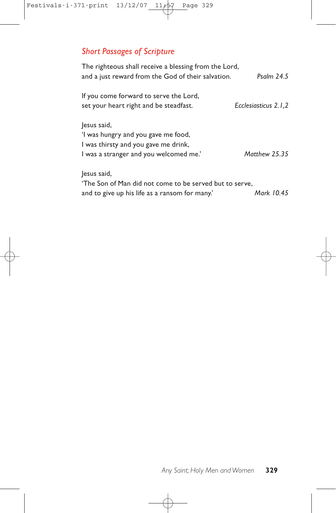# *Short Passages of Scripture*

| The righteous shall receive a blessing from the Lord,<br>and a just reward from the God of their salvation.                          | Psalm 24.5           |
|--------------------------------------------------------------------------------------------------------------------------------------|----------------------|
| If you come forward to serve the Lord,<br>set your heart right and be steadfast.                                                     | Ecclesiasticus 2.1,2 |
| lesus said,<br>'I was hungry and you gave me food,<br>I was thirsty and you gave me drink,<br>I was a stranger and you welcomed me.' | Matthew 25.35        |
| lesus said,<br>'The Son of Man did not come to be served but to serve,                                                               |                      |
| and to give up his life as a ransom for many.'                                                                                       | Mark 10.45           |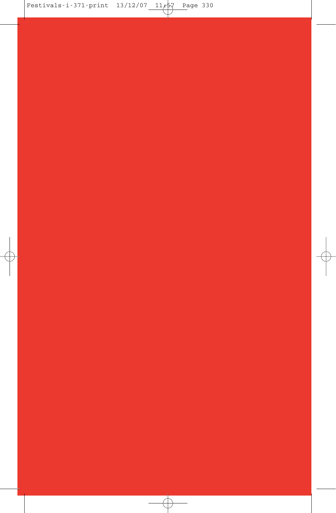

 $\overline{\bigoplus}$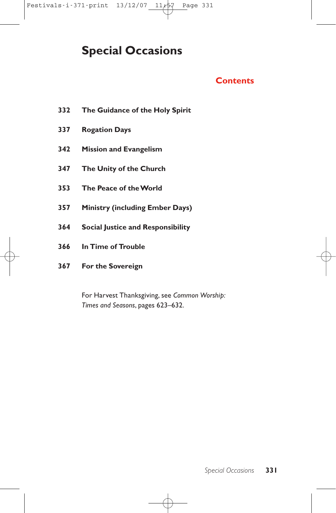Festivals-i-371-print  $13/12/07$   $11/57$  Page 331

# **Special Occasions**

## **Contents**

- **332 The Guidance of the Holy Spirit**
- **337 Rogation Days**
- **342 Mission and Evangelism**
- **347 The Unity of the Church**
- **353 The Peace of the World**
- **357 Ministry (including Ember Days)**
- **364 Social Justice and Responsibility**
- **366 In Time of Trouble**
- **367 For the Sovereign**

For Harvest Thanksgiving, see *Common Worship: Times and Seasons*, pages 623–632.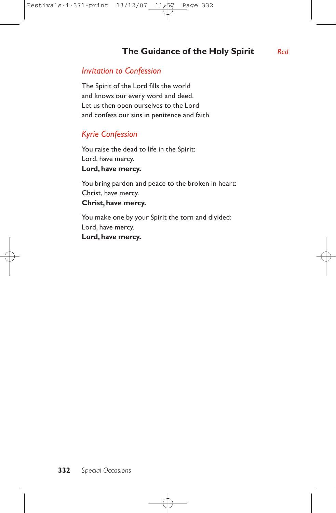## **The Guidance of the Holy Spirit** *Red*

*Invitation to Confession*

The Spirit of the Lord fills the world and knows our every word and deed. Let us then open ourselves to the Lord and confess our sins in penitence and faith.

## *Kyrie Confession*

You raise the dead to life in the Spirit: Lord, have mercy. **Lord, have mercy.**

You bring pardon and peace to the broken in heart: Christ, have mercy. **Christ, have mercy.**

You make one by your Spirit the torn and divided: Lord, have mercy. **Lord, have mercy.**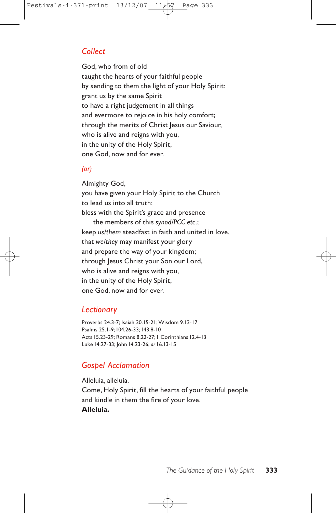## *Collect*

God, who from of old taught the hearts of your faithful people by sending to them the light of your Holy Spirit: grant us by the same Spirit to have a right judgement in all things and evermore to rejoice in his holy comfort; through the merits of Christ Jesus our Saviour, who is alive and reigns with you, in the unity of the Holy Spirit, one God, now and for ever.

#### *(or)*

Almighty God, you have given your Holy Spirit to the Church to lead us into all truth: bless with the Spirit's grace and presence the members of this *synod/PCC etc.*; keep *us/them* steadfast in faith and united in love, that *we/they* may manifest your glory and prepare the way of your kingdom; through Jesus Christ your Son our Lord, who is alive and reigns with you, in the unity of the Holy Spirit, one God, now and for ever.

#### *Lectionary*

Proverbs 24.3-7; Isaiah 30.15-21; Wisdom 9.13-17 Psalms 25.1-9;104.26-33;143.8-10 Acts 15.23-29; Romans 8.22-27;1 Corinthians 12.4-13 Luke 14.27-33; John 14.23-26; *or* 16.13-15

#### *Gospel Acclamation*

Alleluia, alleluia. Come, Holy Spirit, fill the hearts of your faithful people and kindle in them the fire of your love. **Alleluia.**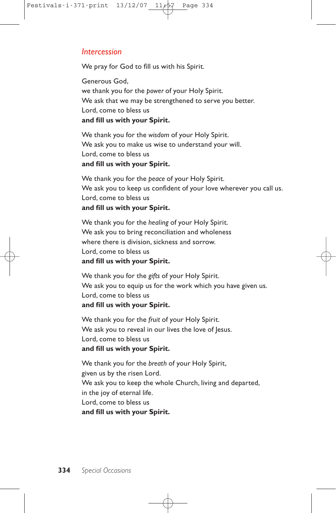## *Intercession*

We pray for God to fill us with his Spirit.

Generous God, we thank you for the *power* of your Holy Spirit. We ask that we may be strengthened to serve you better. Lord, come to bless us **and fill us with your Spirit.**

We thank you for the *wisdom* of your Holy Spirit. We ask you to make us wise to understand your will. Lord, come to bless us **and fill us with your Spirit.**

We thank you for the *peace* of your Holy Spirit. We ask you to keep us confident of your love wherever you call us. Lord, come to bless us **and fill us with your Spirit.**

We thank you for the *healing* of your Holy Spirit. We ask you to bring reconciliation and wholeness where there is division, sickness and sorrow. Lord, come to bless us **and fill us with your Spirit.**

We thank you for the *gifts* of your Holy Spirit. We ask you to equip us for the work which you have given us. Lord, come to bless us **and fill us with your Spirit.**

We thank you for the *fruit* of your Holy Spirit. We ask you to reveal in our lives the love of Jesus. Lord, come to bless us **and fill us with your Spirit.**

We thank you for the *breath* of your Holy Spirit, given us by the risen Lord. We ask you to keep the whole Church, living and departed, in the joy of eternal life. Lord, come to bless us **and fill us with your Spirit.**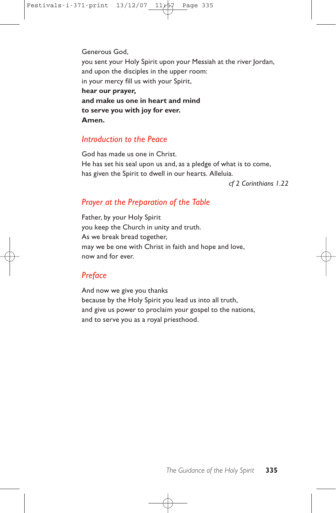Generous God,

you sent your Holy Spirit upon your Messiah at the river Jordan, and upon the disciples in the upper room: in your mercy fill us with your Spirit, **hear our prayer, and make us one in heart and mind to serve you with joy for ever.**

**Amen.**

## *Introduction to the Peace*

God has made us one in Christ. He has set his seal upon us and, as a pledge of what is to come, has given the Spirit to dwell in our hearts. Alleluia.

*cf 2 Corinthians 1.22*

## *Prayer at the Preparation of the Table*

Father, by your Holy Spirit you keep the Church in unity and truth. As we break bread together, may we be one with Christ in faith and hope and love, now and for ever.

## *Preface*

And now we give you thanks because by the Holy Spirit you lead us into all truth, and give us power to proclaim your gospel to the nations, and to serve you as a royal priesthood.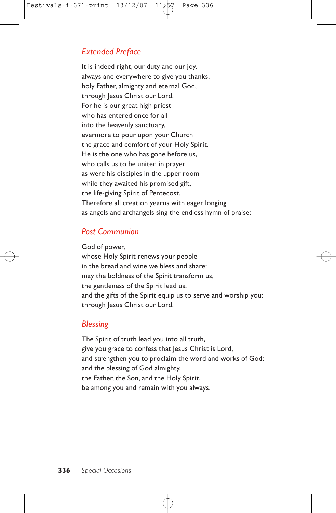## *Extended Preface*

It is indeed right, our duty and our joy, always and everywhere to give you thanks, holy Father, almighty and eternal God, through Jesus Christ our Lord. For he is our great high priest who has entered once for all into the heavenly sanctuary, evermore to pour upon your Church the grace and comfort of your Holy Spirit. He is the one who has gone before us, who calls us to be united in prayer as were his disciples in the upper room while they awaited his promised gift, the life-giving Spirit of Pentecost. Therefore all creation yearns with eager longing as angels and archangels sing the endless hymn of praise:

#### *Post Communion*

God of power, whose Holy Spirit renews your people in the bread and wine we bless and share: may the boldness of the Spirit transform us, the gentleness of the Spirit lead us, and the gifts of the Spirit equip us to serve and worship you; through Jesus Christ our Lord.

## *Blessing*

The Spirit of truth lead you into all truth, give you grace to confess that Jesus Christ is Lord, and strengthen you to proclaim the word and works of God; and the blessing of God almighty, the Father, the Son, and the Holy Spirit, be among you and remain with you always.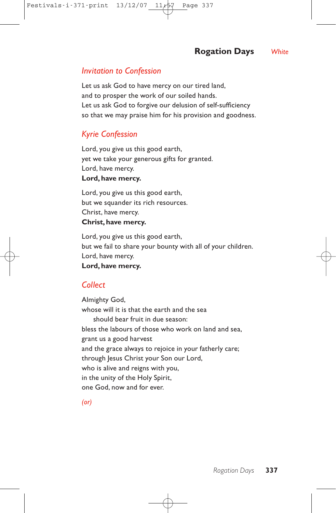**Rogation Days** *White*

#### *Invitation to Confession*

Let us ask God to have mercy on our tired land, and to prosper the work of our soiled hands. Let us ask God to forgive our delusion of self-sufficiency so that we may praise him for his provision and goodness.

## *Kyrie Confession*

Lord, you give us this good earth, yet we take your generous gifts for granted. Lord, have mercy. **Lord, have mercy.**

Lord, you give us this good earth, but we squander its rich resources. Christ, have mercy. **Christ, have mercy.**

Lord, you give us this good earth, but we fail to share your bounty with all of your children. Lord, have mercy. **Lord, have mercy.**

## *Collect*

Almighty God, whose will it is that the earth and the sea should bear fruit in due season: bless the labours of those who work on land and sea, grant us a good harvest and the grace always to rejoice in your fatherly care; through Jesus Christ your Son our Lord, who is alive and reigns with you, in the unity of the Holy Spirit, one God, now and for ever.

*(or)*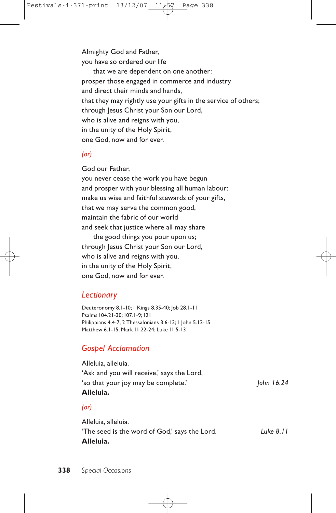Almighty God and Father, you have so ordered our life that we are dependent on one another: prosper those engaged in commerce and industry and direct their minds and hands, that they may rightly use your gifts in the service of others; through Jesus Christ your Son our Lord, who is alive and reigns with you, in the unity of the Holy Spirit, one God, now and for ever.

#### *(or)*

## God our Father,

you never cease the work you have begun and prosper with your blessing all human labour: make us wise and faithful stewards of your gifts, that we may serve the common good, maintain the fabric of our world and seek that justice where all may share

the good things you pour upon us; through Jesus Christ your Son our Lord, who is alive and reigns with you, in the unity of the Holy Spirit, one God, now and for ever.

#### *Lectionary*

Deuteronomy 8.1-10;1 Kings 8.35-40; Job 28.1-11 Psalms 104.21-30;107.1-9;121 Philippians 4.4-7; 2 Thessalonians 3.6-13;1 John 5.12-15 Matthew 6.1-15; Mark 11.22-24; Luke 11.5-13`

## *Gospel Acclamation*

Alleluia, alleluia. 'Ask and you will receive,' says the Lord, 'so that your joy may be complete.' *John 16.24* **Alleluia.**

#### *(or)*

Alleluia, alleluia. 'The seed is the word of God,' says the Lord. *Luke 8.11* **Alleluia.**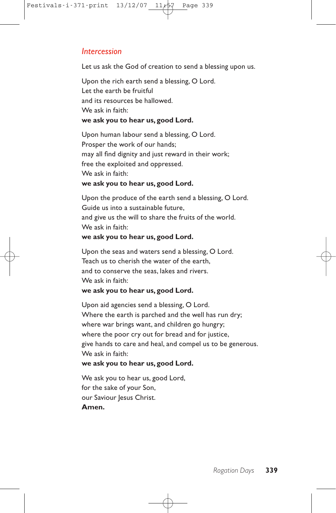### *Intercession*

Let us ask the God of creation to send a blessing upon us.

Upon the rich earth send a blessing, O Lord. Let the earth be fruitful and its resources be hallowed. We ask in faith: **we ask you to hear us, good Lord.**

Upon human labour send a blessing, O Lord. Prosper the work of our hands; may all find dignity and just reward in their work; free the exploited and oppressed. We ask in faith: **we ask you to hear us, good Lord.**

Upon the produce of the earth send a blessing, O Lord. Guide us into a sustainable future, and give us the will to share the fruits of the world. We ask in faith: **we ask you to hear us, good Lord.**

Upon the seas and waters send a blessing, O Lord. Teach us to cherish the water of the earth, and to conserve the seas, lakes and rivers. We ask in faith: **we ask you to hear us, good Lord.**

Upon aid agencies send a blessing, O Lord. Where the earth is parched and the well has run dry; where war brings want, and children go hungry; where the poor cry out for bread and for justice, give hands to care and heal, and compel us to be generous. We ask in faith:

## **we ask you to hear us, good Lord.**

We ask you to hear us, good Lord, for the sake of your Son, our Saviour Jesus Christ. **Amen.**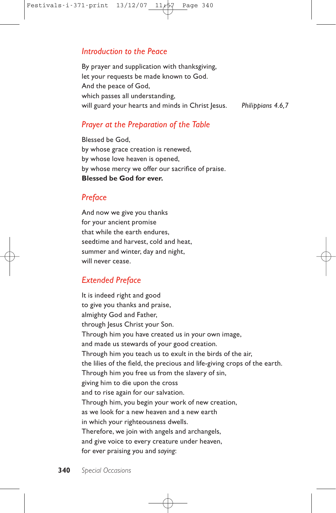## *Introduction to the Peace*

By prayer and supplication with thanksgiving, let your requests be made known to God. And the peace of God, which passes all understanding, will guard your hearts and minds in Christ Jesus. *Philippians 4.6,7*

## *Prayer at the Preparation of the Table*

Blessed be God, by whose grace creation is renewed, by whose love heaven is opened, by whose mercy we offer our sacrifice of praise. **Blessed be God for ever.**

## *Preface*

And now we give you thanks for your ancient promise that while the earth endures, seedtime and harvest, cold and heat, summer and winter, day and night, will never cease.

## *Extended Preface*

It is indeed right and good to give you thanks and praise, almighty God and Father, through Jesus Christ your Son. Through him you have created us in your own image, and made us stewards of your good creation. Through him you teach us to exult in the birds of the air, the lilies of the field, the precious and life-giving crops of the earth. Through him you free us from the slavery of sin, giving him to die upon the cross and to rise again for our salvation. Through him, you begin your work of new creation, as we look for a new heaven and a new earth in which your righteousness dwells. Therefore, we join with angels and archangels, and give voice to every creature under heaven, for ever praising you and *saying*: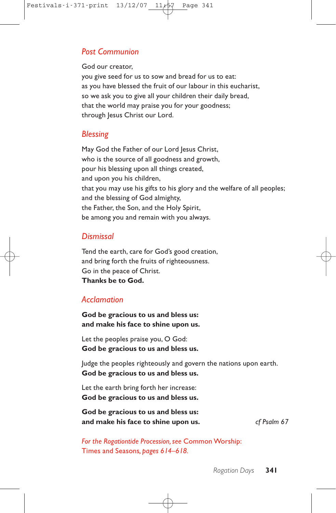## *Post Communion*

God our creator, you give seed for us to sow and bread for us to eat: as you have blessed the fruit of our labour in this eucharist, so we ask you to give all your children their daily bread, that the world may praise you for your goodness; through Jesus Christ our Lord.

## *Blessing*

May God the Father of our Lord Jesus Christ, who is the source of all goodness and growth, pour his blessing upon all things created, and upon you his children, that you may use his gifts to his glory and the welfare of all peoples; and the blessing of God almighty, the Father, the Son, and the Holy Spirit, be among you and remain with you always.

### *Dismissal*

Tend the earth, care for God's good creation, and bring forth the fruits of righteousness. Go in the peace of Christ. **Thanks be to God.**

### *Acclamation*

**God be gracious to us and bless us: and make his face to shine upon us.**

Let the peoples praise you, O God: **God be gracious to us and bless us.**

Judge the peoples righteously and govern the nations upon earth. **God be gracious to us and bless us.**

Let the earth bring forth her increase: **God be gracious to us and bless us.**

**God be gracious to us and bless us: and make his face to shine upon us.** *cf Psalm 67*

*For the Rogationtide Procession, see* Common Worship: Times and Seasons*, pages 614–618.*

*Rogation Days* **341**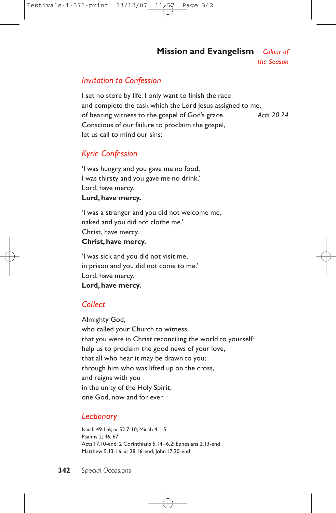**Mission and Evangelism** *Colour of*

*the Season*

### *Invitation to Confession*

I set no store by life: I only want to finish the race and complete the task which the Lord Jesus assigned to me, of bearing witness to the gospel of God's grace. *Acts 20.24* Conscious of our failure to proclaim the gospel, let us call to mind our sins:

## *Kyrie Confession*

'I was hungry and you gave me no food, I was thirsty and you gave me no drink.' Lord, have mercy. **Lord, have mercy.**

'I was a stranger and you did not welcome me, naked and you did not clothe me.' Christ, have mercy. **Christ, have mercy.**

'I was sick and you did not visit me, in prison and you did not come to me.' Lord, have mercy. **Lord, have mercy.**

# *Collect*

Almighty God, who called your Church to witness that you were in Christ reconciling the world to yourself: help us to proclaim the good news of your love, that all who hear it may be drawn to you; through him who was lifted up on the cross, and reigns with you in the unity of the Holy Spirit, one God, now and for ever.

### *Lectionary*

Isaiah 49.1-6; *or* 52.7-10; Micah 4.1-5 Psalms 2; 46; 67 Acts 17.10-end; 2 Corinthians 5.14–6.2; Ephesians 2.13-end Matthew 5.13-16; *or* 28.16-end; John 17.20-end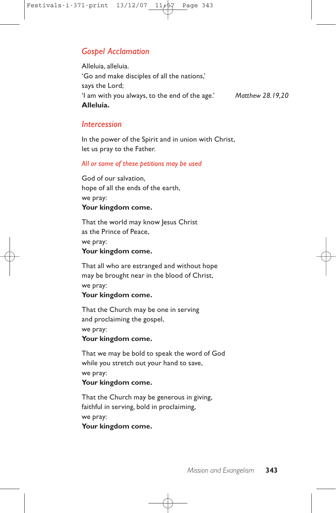## *Gospel Acclamation*

Alleluia, alleluia. 'Go and make disciples of all the nations,' says the Lord; 'I am with you always, to the end of the age.' *Matthew 28.19,20* **Alleluia.**

## *Intercession*

In the power of the Spirit and in union with Christ, let us pray to the Father.

### *All or some of these petitions may be used*

God of our salvation, hope of all the ends of the earth, we pray: **Your kingdom come.**

That the world may know Jesus Christ as the Prince of Peace, we pray: **Your kingdom come.**

That all who are estranged and without hope may be brought near in the blood of Christ, we pray:

## **Your kingdom come.**

That the Church may be one in serving and proclaiming the gospel, we pray:

# **Your kingdom come.**

That we may be bold to speak the word of God while you stretch out your hand to save, we pray:

**Your kingdom come.**

That the Church may be generous in giving, faithful in serving, bold in proclaiming, we pray: **Your kingdom come.**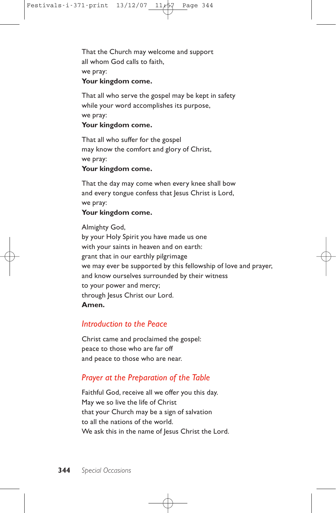That the Church may welcome and support all whom God calls to faith, we pray: **Your kingdom come.**

That all who serve the gospel may be kept in safety while your word accomplishes its purpose, we pray:

## **Your kingdom come.**

That all who suffer for the gospel may know the comfort and glory of Christ, we pray:

## **Your kingdom come.**

That the day may come when every knee shall bow and every tongue confess that Jesus Christ is Lord, we pray:

### **Your kingdom come.**

Almighty God, by your Holy Spirit you have made us one with your saints in heaven and on earth: grant that in our earthly pilgrimage we may ever be supported by this fellowship of love and prayer, and know ourselves surrounded by their witness to your power and mercy; through Jesus Christ our Lord. **Amen.**

## *Introduction to the Peace*

Christ came and proclaimed the gospel: peace to those who are far off and peace to those who are near.

## *Prayer at the Preparation of the Table*

Faithful God, receive all we offer you this day. May we so live the life of Christ that your Church may be a sign of salvation to all the nations of the world. We ask this in the name of Jesus Christ the Lord.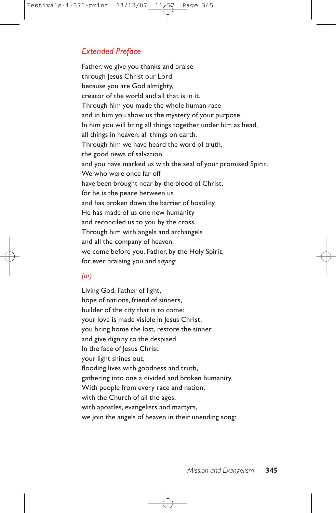## *Extended Preface*

Father, we give you thanks and praise through Jesus Christ our Lord because you are God almighty, creator of the world and all that is in it. Through him you made the whole human race and in him you show us the mystery of your purpose. In him you will bring all things together under him as head, all things in heaven, all things on earth. Through him we have heard the word of truth, the good news of salvation, and you have marked us with the seal of your promised Spirit. We who were once far off have been brought near by the blood of Christ, for he is the peace between us and has broken down the barrier of hostility. He has made of us one new humanity and reconciled us to you by the cross. Through him with angels and archangels and all the company of heaven, we come before you, Father, by the Holy Spirit, for ever praising you and *saying*:

### *(or)*

Living God, Father of light, hope of nations, friend of sinners, builder of the city that is to come: your love is made visible in Jesus Christ, you bring home the lost, restore the sinner and give dignity to the despised. In the face of Jesus Christ your light shines out, flooding lives with goodness and truth, gathering into one a divided and broken humanity. With people from every race and nation, with the Church of all the ages, with apostles, evangelists and martyrs, we join the angels of heaven in their unending song: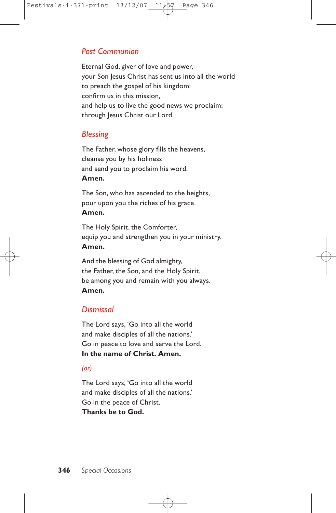## *Post Communion*

Eternal God, giver of love and power, your Son Jesus Christ has sent us into all the world to preach the gospel of his kingdom: confirm us in this mission, and help us to live the good news we proclaim; through Jesus Christ our Lord.

## *Blessing*

The Father, whose glory fills the heavens, cleanse you by his holiness and send you to proclaim his word. **Amen.**

The Son, who has ascended to the heights, pour upon you the riches of his grace. **Amen.**

The Holy Spirit, the Comforter, equip you and strengthen you in your ministry. **Amen.**

And the blessing of God almighty, the Father, the Son, and the Holy Spirit, be among you and remain with you always. **Amen.**

## *Dismissal*

The Lord says, 'Go into all the world and make disciples of all the nations.' Go in peace to love and serve the Lord. **In the name of Christ. Amen.**

### *(or)*

The Lord says, 'Go into all the world and make disciples of all the nations.' Go in the peace of Christ. **Thanks be to God.**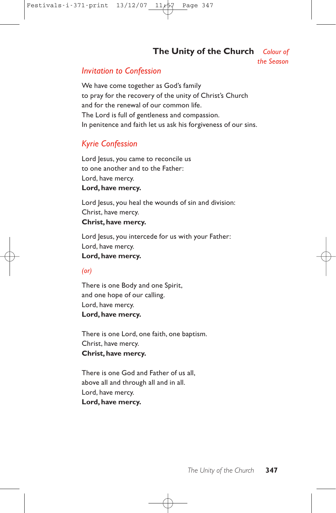### **The Unity of the Church** *Colour of*

*the Season*

## *Invitation to Confession*

We have come together as God's family to pray for the recovery of the unity of Christ's Church and for the renewal of our common life. The Lord is full of gentleness and compassion. In penitence and faith let us ask his forgiveness of our sins.

## *Kyrie Confession*

Lord Jesus, you came to reconcile us to one another and to the Father: Lord, have mercy. **Lord, have mercy.**

Lord Jesus, you heal the wounds of sin and division: Christ, have mercy. **Christ, have mercy.**

Lord Jesus, you intercede for us with your Father: Lord, have mercy. **Lord, have mercy.**

*(or)*

There is one Body and one Spirit, and one hope of our calling. Lord, have mercy. **Lord, have mercy.**

There is one Lord, one faith, one baptism. Christ, have mercy. **Christ, have mercy.**

There is one God and Father of us all, above all and through all and in all. Lord, have mercy. **Lord, have mercy.**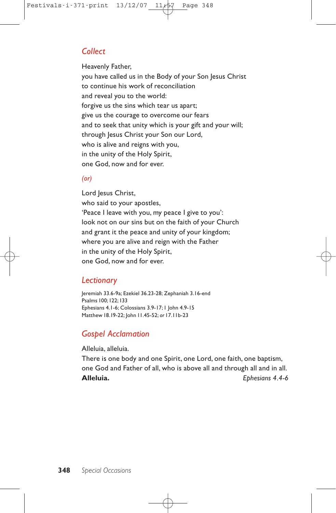## *Collect*

Heavenly Father, you have called us in the Body of your Son Jesus Christ to continue his work of reconciliation and reveal you to the world: forgive us the sins which tear us apart; give us the courage to overcome our fears and to seek that unity which is your gift and your will; through Jesus Christ your Son our Lord, who is alive and reigns with you, in the unity of the Holy Spirit, one God, now and for ever.

### *(or)*

Lord Jesus Christ, who said to your apostles, 'Peace I leave with you, my peace I give to you': look not on our sins but on the faith of your Church and grant it the peace and unity of your kingdom; where you are alive and reign with the Father in the unity of the Holy Spirit, one God, now and for ever.

### *Lectionary*

Jeremiah 33.6-9a; Ezekiel 36.23-28; Zephaniah 3.16-end Psalms 100;122;133 Ephesians 4.1-6; Colossians 3.9-17;1 John 4.9-15 Matthew 18.19-22; John 11.45-52; *or* 17.11b-23

## *Gospel Acclamation*

Alleluia, alleluia.

There is one body and one Spirit, one Lord, one faith, one baptism, one God and Father of all, who is above all and through all and in all. **Alleluia.** *Ephesians 4.4-6*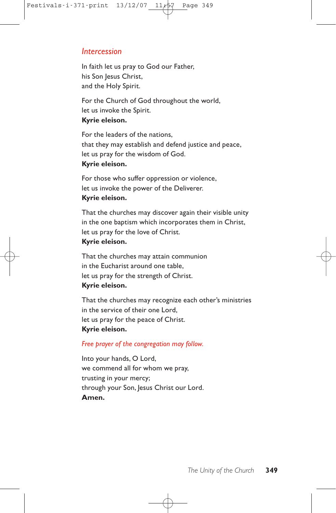## *Intercession*

In faith let us pray to God our Father, his Son Jesus Christ. and the Holy Spirit.

For the Church of God throughout the world, let us invoke the Spirit. **Kyrie eleison.**

For the leaders of the nations, that they may establish and defend justice and peace, let us pray for the wisdom of God. **Kyrie eleison.**

For those who suffer oppression or violence, let us invoke the power of the Deliverer. **Kyrie eleison.**

That the churches may discover again their visible unity in the one baptism which incorporates them in Christ, let us pray for the love of Christ. **Kyrie eleison.**

That the churches may attain communion in the Eucharist around one table, let us pray for the strength of Christ. **Kyrie eleison.**

That the churches may recognize each other's ministries in the service of their one Lord, let us pray for the peace of Christ. **Kyrie eleison.**

### *Free prayer of the congregation may follow.*

Into your hands, O Lord, we commend all for whom we pray, trusting in your mercy; through your Son, Jesus Christ our Lord. **Amen.**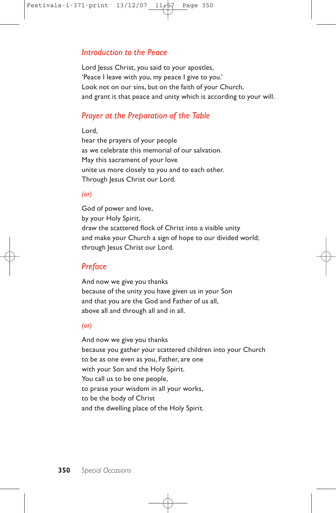## *Introduction to the Peace*

Lord Jesus Christ, you said to your apostles, 'Peace I leave with you, my peace I give to you.' Look not on our sins, but on the faith of your Church, and grant it that peace and unity which is according to your will.

## *Prayer at the Preparation of the Table*

### Lord,

hear the prayers of your people as we celebrate this memorial of our salvation. May this sacrament of your love unite us more closely to you and to each other. Through Jesus Christ our Lord.

### *(or)*

God of power and love, by your Holy Spirit, draw the scattered flock of Christ into a visible unity and make your Church a sign of hope to our divided world; through Jesus Christ our Lord.

## *Preface*

And now we give you thanks because of the unity you have given us in your Son and that you are the God and Father of us all, above all and through all and in all.

### *(or)*

And now we give you thanks because you gather your scattered children into your Church to be as one even as you, Father, are one with your Son and the Holy Spirit. You call us to be one people, to praise your wisdom in all your works, to be the body of Christ and the dwelling place of the Holy Spirit.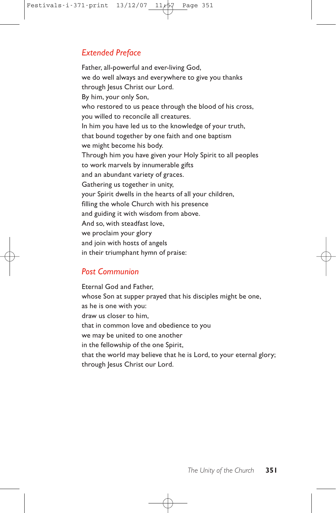# *Extended Preface*

Father, all-powerful and ever-living God, we do well always and everywhere to give you thanks through Jesus Christ our Lord. By him, your only Son, who restored to us peace through the blood of his cross, you willed to reconcile all creatures. In him you have led us to the knowledge of your truth, that bound together by one faith and one baptism we might become his body. Through him you have given your Holy Spirit to all peoples to work marvels by innumerable gifts and an abundant variety of graces. Gathering us together in unity, your Spirit dwells in the hearts of all your children, filling the whole Church with his presence and guiding it with wisdom from above. And so, with steadfast love, we proclaim your glory and join with hosts of angels in their triumphant hymn of praise:

## *Post Communion*

Eternal God and Father, whose Son at supper prayed that his disciples might be one, as he is one with you: draw us closer to him, that in common love and obedience to you we may be united to one another in the fellowship of the one Spirit, that the world may believe that he is Lord, to your eternal glory; through Jesus Christ our Lord.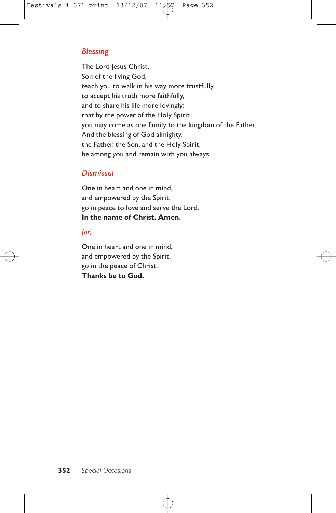# *Blessing*

The Lord Jesus Christ, Son of the living God, teach you to walk in his way more trustfully, to accept his truth more faithfully, and to share his life more lovingly; that by the power of the Holy Spirit you may come as one family to the kingdom of the Father. And the blessing of God almighty, the Father, the Son, and the Holy Spirit, be among you and remain with you always.

## *Dismissal*

One in heart and one in mind, and empowered by the Spirit, go in peace to love and serve the Lord. **In the name of Christ. Amen.**

### *(or)*

One in heart and one in mind, and empowered by the Spirit, go in the peace of Christ. **Thanks be to God.**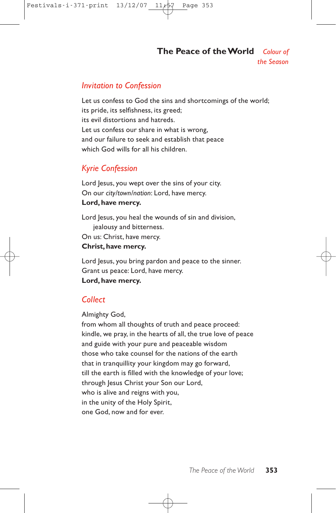**The Peace of the World** *Colour of the Season*

### *Invitation to Confession*

Let us confess to God the sins and shortcomings of the world; its pride, its selfishness, its greed; its evil distortions and hatreds. Let us confess our share in what is wrong, and our failure to seek and establish that peace which God wills for all his children.

## *Kyrie Confession*

Lord Jesus, you wept over the sins of your city. On our *city/town/nation*: Lord, have mercy. **Lord, have mercy.**

Lord Jesus, you heal the wounds of sin and division, jealousy and bitterness. On us: Christ, have mercy.

**Christ, have mercy.**

Lord Jesus, you bring pardon and peace to the sinner. Grant us peace: Lord, have mercy. **Lord, have mercy.**

## *Collect*

Almighty God,

from whom all thoughts of truth and peace proceed: kindle, we pray, in the hearts of all, the true love of peace and guide with your pure and peaceable wisdom those who take counsel for the nations of the earth that in tranquillity your kingdom may go forward, till the earth is filled with the knowledge of your love; through Jesus Christ your Son our Lord, who is alive and reigns with you, in the unity of the Holy Spirit, one God, now and for ever.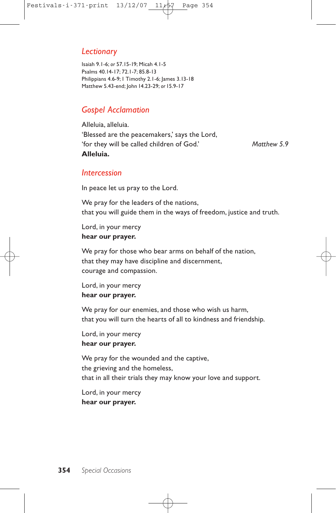## *Lectionary*

Isaiah 9.1-6; *or* 57.15-19; Micah 4.1-5 Psalms 40.14-17; 72.1-7; 85.8-13 Philippians 4.6-9; I Timothy 2.1-6; James 3.13-18 Matthew 5.43-end; John 14.23-29; *or* 15.9-17

# *Gospel Acclamation*

Alleluia, alleluia. 'Blessed are the peacemakers,' says the Lord, 'for they will be called children of God.' *Matthew 5.9* **Alleluia.**

### *Intercession*

In peace let us pray to the Lord.

We pray for the leaders of the nations, that you will guide them in the ways of freedom, justice and truth.

Lord, in your mercy **hear our prayer.**

We pray for those who bear arms on behalf of the nation, that they may have discipline and discernment, courage and compassion.

Lord, in your mercy **hear our prayer.**

We pray for our enemies, and those who wish us harm, that you will turn the hearts of all to kindness and friendship.

Lord, in your mercy **hear our prayer.**

We pray for the wounded and the captive, the grieving and the homeless, that in all their trials they may know your love and support.

Lord, in your mercy **hear our prayer.**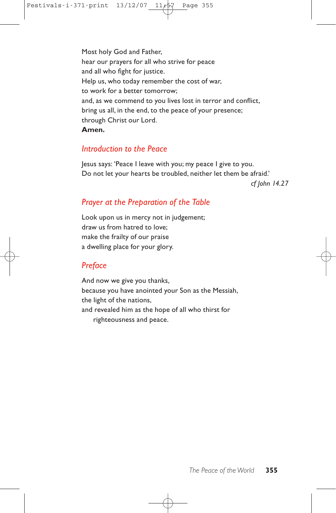Most holy God and Father, hear our prayers for all who strive for peace and all who fight for justice. Help us, who today remember the cost of war, to work for a better tomorrow; and, as we commend to you lives lost in terror and conflict, bring us all, in the end, to the peace of your presence; through Christ our Lord. **Amen.**

## *Introduction to the Peace*

Jesus says: 'Peace I leave with you; my peace I give to you. Do not let your hearts be troubled, neither let them be afraid.'

*cf John 14.27*

## *Prayer at the Preparation of the Table*

Look upon us in mercy not in judgement; draw us from hatred to love; make the frailty of our praise a dwelling place for your glory.

# *Preface*

And now we give you thanks, because you have anointed your Son as the Messiah, the light of the nations, and revealed him as the hope of all who thirst for righteousness and peace.

*The Peace of the World* **355**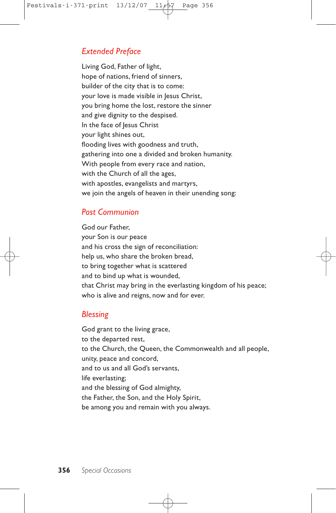## *Extended Preface*

Living God, Father of light, hope of nations, friend of sinners, builder of the city that is to come: your love is made visible in Jesus Christ, you bring home the lost, restore the sinner and give dignity to the despised. In the face of Jesus Christ your light shines out, flooding lives with goodness and truth, gathering into one a divided and broken humanity. With people from every race and nation, with the Church of all the ages, with apostles, evangelists and martyrs, we join the angels of heaven in their unending song:

## *Post Communion*

God our Father, your Son is our peace and his cross the sign of reconciliation: help us, who share the broken bread, to bring together what is scattered and to bind up what is wounded, that Christ may bring in the everlasting kingdom of his peace; who is alive and reigns, now and for ever.

## *Blessing*

God grant to the living grace, to the departed rest, to the Church, the Queen, the Commonwealth and all people, unity, peace and concord, and to us and all God's servants, life everlasting; and the blessing of God almighty, the Father, the Son, and the Holy Spirit, be among you and remain with you always.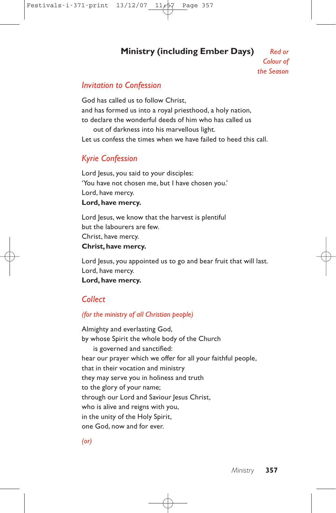## **Ministry (including Ember Days)** *Red or*

*Colour of the Season*

## *Invitation to Confession*

God has called us to follow Christ, and has formed us into a royal priesthood, a holy nation, to declare the wonderful deeds of him who has called us out of darkness into his marvellous light. Let us confess the times when we have failed to heed this call.

## *Kyrie Confession*

Lord Jesus, you said to your disciples: 'You have not chosen me, but I have chosen you.' Lord, have mercy. **Lord, have mercy.**

Lord Jesus, we know that the harvest is plentiful but the labourers are few. Christ, have mercy. **Christ, have mercy.**

Lord Jesus, you appointed us to go and bear fruit that will last. Lord, have mercy. **Lord, have mercy.**

## *Collect*

### *(for the ministry of all Christian people)*

Almighty and everlasting God, by whose Spirit the whole body of the Church is governed and sanctified: hear our prayer which we offer for all your faithful people, that in their vocation and ministry they may serve you in holiness and truth to the glory of your name; through our Lord and Saviour Jesus Christ, who is alive and reigns with you, in the unity of the Holy Spirit, one God, now and for ever.

*(or)*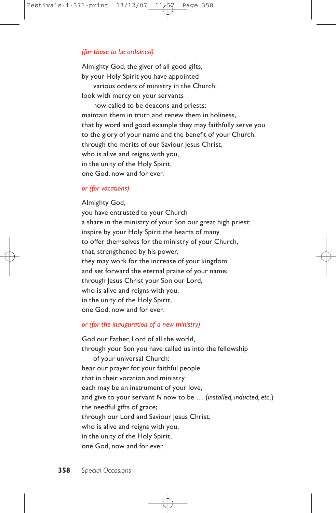### *(for those to be ordained)*

Almighty God, the giver of all good gifts, by your Holy Spirit you have appointed various orders of ministry in the Church: look with mercy on your servants now called to be deacons and priests; maintain them in truth and renew them in holiness, that by word and good example they may faithfully serve you to the glory of your name and the benefit of your Church; through the merits of our Saviour Jesus Christ, who is alive and reigns with you, in the unity of the Holy Spirit, one God, now and for ever.

### *or (for vocations)*

### Almighty God,

you have entrusted to your Church a share in the ministry of your Son our great high priest: inspire by your Holy Spirit the hearts of many to offer themselves for the ministry of your Church, that, strengthened by his power, they may work for the increase of your kingdom and set forward the eternal praise of your name; through Jesus Christ your Son our Lord, who is alive and reigns with you, in the unity of the Holy Spirit, one God, now and for ever.

### *or (for the inauguration of a new ministry)*

God our Father, Lord of all the world, through your Son you have called us into the fellowship of your universal Church: hear our prayer for your faithful people that in their vocation and ministry each may be an instrument of your love, and give to your servant *N* now to be … (*installed, inducted, etc.*) the needful gifts of grace; through our Lord and Saviour Jesus Christ, who is alive and reigns with you, in the unity of the Holy Spirit, one God, now and for ever.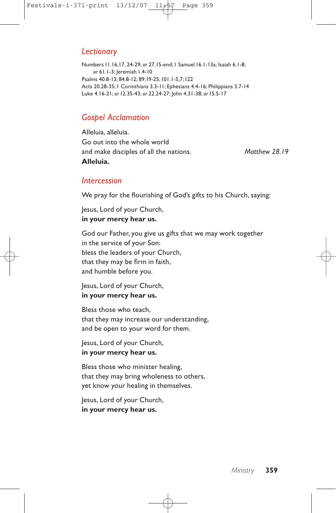## *Lectionary*

Numbers 11.16,17, 24-29; *or* 27.15-end;1 Samuel 16.1-13a; Isaiah 6.1-8; *or* 61.1-3; Jeremiah 1.4-10 Psalms 40.8-13; 84.8-12; 89.19-25;101.1-5,7;122 Acts 20.28-35;1 Corinthians 3.3-11; Ephesians 4.4-16; Philippians 3.7-14 Luke 4.16-21; *or* 12.35-43; *or* 22.24-27; John 4.31-38; *or* 15.5-17

# *Gospel Acclamation*

Alleluia, alleluia. Go out into the whole world and make disciples of all the nations. *Matthew 28.19* **Alleluia.**

## *Intercession*

We pray for the flourishing of God's gifts to his Church, saying:

Jesus, Lord of your Church, **in your mercy hear us.**

God our Father, you give us gifts that we may work together in the service of your Son: bless the leaders of your Church, that they may be firm in faith, and humble before you.

Jesus, Lord of your Church, **in your mercy hear us.**

Bless those who teach, that they may increase our understanding, and be open to your word for them.

Jesus, Lord of your Church, **in your mercy hear us.**

Bless those who minister healing, that they may bring wholeness to others, yet know your healing in themselves.

Jesus, Lord of your Church, **in your mercy hear us.**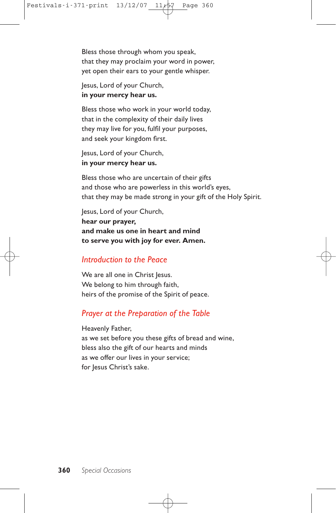Bless those through whom you speak, that they may proclaim your word in power, yet open their ears to your gentle whisper.

## Jesus, Lord of your Church, **in your mercy hear us.**

Bless those who work in your world today, that in the complexity of their daily lives they may live for you, fulfil your purposes, and seek your kingdom first.

Jesus, Lord of your Church, **in your mercy hear us.**

Bless those who are uncertain of their gifts and those who are powerless in this world's eyes, that they may be made strong in your gift of the Holy Spirit.

Jesus, Lord of your Church, **hear our prayer, and make us one in heart and mind to serve you with joy for ever. Amen.**

## *Introduction to the Peace*

We are all one in Christ Jesus. We belong to him through faith, heirs of the promise of the Spirit of peace.

### *Prayer at the Preparation of the Table*

Heavenly Father, as we set before you these gifts of bread and wine, bless also the gift of our hearts and minds as we offer our lives in your service; for Jesus Christ's sake.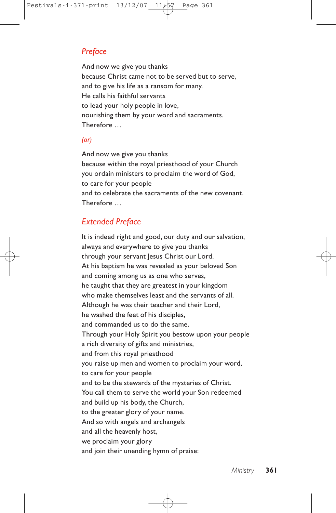## *Preface*

And now we give you thanks because Christ came not to be served but to serve, and to give his life as a ransom for many. He calls his faithful servants to lead your holy people in love, nourishing them by your word and sacraments. Therefore …

### *(or)*

And now we give you thanks because within the royal priesthood of your Church you ordain ministers to proclaim the word of God, to care for your people and to celebrate the sacraments of the new covenant. Therefore …

## *Extended Preface*

It is indeed right and good, our duty and our salvation, always and everywhere to give you thanks through your servant Jesus Christ our Lord. At his baptism he was revealed as your beloved Son and coming among us as one who serves, he taught that they are greatest in your kingdom who make themselves least and the servants of all. Although he was their teacher and their Lord, he washed the feet of his disciples, and commanded us to do the same. Through your Holy Spirit you bestow upon your people a rich diversity of gifts and ministries, and from this royal priesthood you raise up men and women to proclaim your word, to care for your people and to be the stewards of the mysteries of Christ. You call them to serve the world your Son redeemed and build up his body, the Church, to the greater glory of your name. And so with angels and archangels and all the heavenly host, we proclaim your glory and join their unending hymn of praise: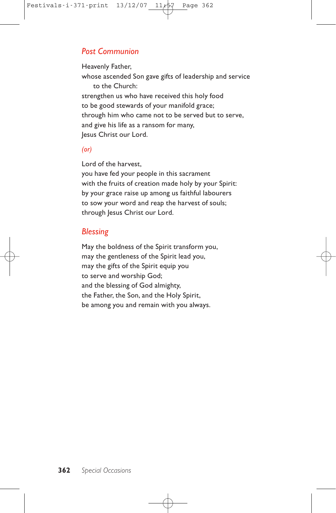# *Post Communion*

Heavenly Father, whose ascended Son gave gifts of leadership and service to the Church: strengthen us who have received this holy food to be good stewards of your manifold grace; through him who came not to be served but to serve, and give his life as a ransom for many, Jesus Christ our Lord.

## *(or)*

Lord of the harvest,

you have fed your people in this sacrament with the fruits of creation made holy by your Spirit: by your grace raise up among us faithful labourers to sow your word and reap the harvest of souls; through Jesus Christ our Lord.

## *Blessing*

May the boldness of the Spirit transform you, may the gentleness of the Spirit lead you, may the gifts of the Spirit equip you to serve and worship God; and the blessing of God almighty, the Father, the Son, and the Holy Spirit, be among you and remain with you always.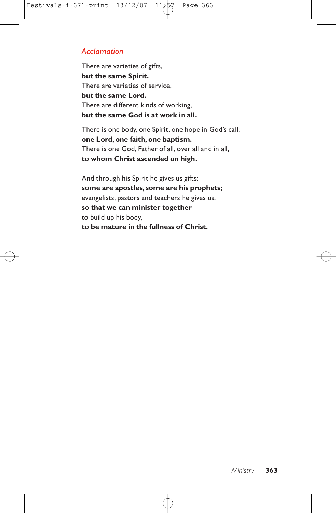## *Acclamation*

There are varieties of gifts, **but the same Spirit.** There are varieties of service, **but the same Lord.** There are different kinds of working, **but the same God is at work in all.**

There is one body, one Spirit, one hope in God's call; **one Lord, one faith, one baptism.** There is one God, Father of all, over all and in all, **to whom Christ ascended on high.**

And through his Spirit he gives us gifts: **some are apostles, some are his prophets;** evangelists, pastors and teachers he gives us, **so that we can minister together** to build up his body, **to be mature in the fullness of Christ.**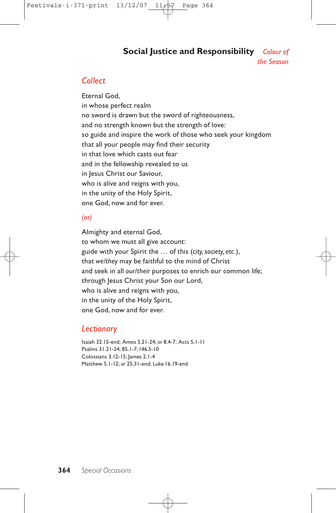## **Social Justice and Responsibility** *Colour of the Season*

## *Collect*

Eternal God, in whose perfect realm no sword is drawn but the sword of righteousness, and no strength known but the strength of love: so guide and inspire the work of those who seek your kingdom that all your people may find their security in that love which casts out fear and in the fellowship revealed to us in Jesus Christ our Saviour, who is alive and reigns with you, in the unity of the Holy Spirit, one God, now and for ever.

## *(or)*

Almighty and eternal God, to whom we must all give account: guide with your Spirit the … of this (*city, society, etc.*), that *we/they* may be faithful to the mind of Christ and seek in all *our/their* purposes to enrich our common life; through Jesus Christ your Son our Lord, who is alive and reigns with you, in the unity of the Holy Spirit, one God, now and for ever.

## *Lectionary*

Isaiah 32.15-end; Amos 5.21-24; *or* 8.4-7; Acts 5.1-11 Psalms 31.21-24; 85.1-7;146.5-10 Colossians 3.12-15; James 2.1-4 Matthew 5.1-12; *or* 25.31-end; Luke 16.19-end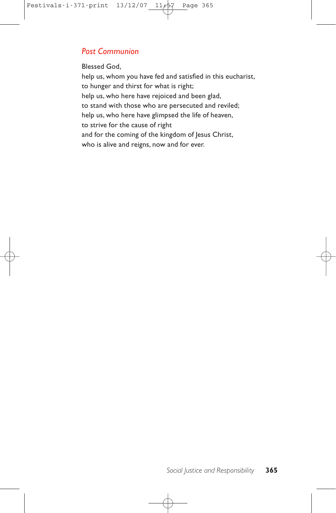## *Post Communion*

Blessed God,

help us, whom you have fed and satisfied in this eucharist, to hunger and thirst for what is right; help us, who here have rejoiced and been glad, to stand with those who are persecuted and reviled; help us, who here have glimpsed the life of heaven, to strive for the cause of right and for the coming of the kingdom of Jesus Christ, who is alive and reigns, now and for ever.

*Social Justice and Responsibility* **365**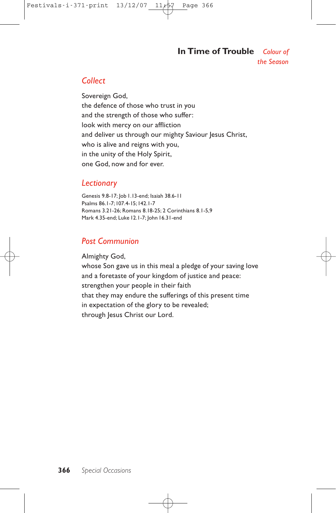# **In Time of Trouble** *Colour of*

*the Season*

# *Collect*

Sovereign God, the defence of those who trust in you and the strength of those who suffer: look with mercy on our affliction and deliver us through our mighty Saviour Jesus Christ, who is alive and reigns with you, in the unity of the Holy Spirit, one God, now and for ever.

## *Lectionary*

Genesis 9.8-17; Job 1.13-end; Isaiah 38.6-11 Psalms 86.1-7;107.4-15;142.1-7 Romans 3.21-26; Romans 8.18-25; 2 Corinthians 8.1-5,9 Mark 4.35-end; Luke 12.1-7; John 16.31-end

## *Post Communion*

Almighty God,

whose Son gave us in this meal a pledge of your saving love and a foretaste of your kingdom of justice and peace: strengthen your people in their faith that they may endure the sufferings of this present time in expectation of the glory to be revealed; through Jesus Christ our Lord.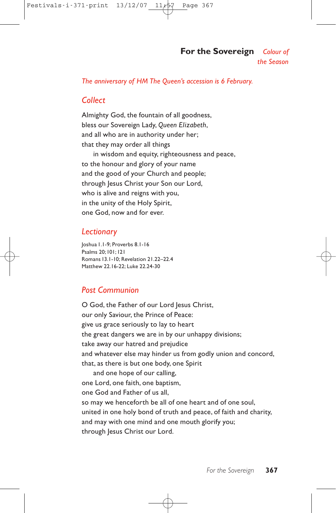**For the Sovereign** *Colour of*

*the Season*

*The anniversary of HM The Queen's accession is 6 February.*

## *Collect*

Almighty God, the fountain of all goodness, bless our Sovereign Lady, *Queen Elizabeth*, and all who are in authority under her; that they may order all things in wisdom and equity, righteousness and peace,

to the honour and glory of your name and the good of your Church and people; through Jesus Christ your Son our Lord, who is alive and reigns with you, in the unity of the Holy Spirit, one God, now and for ever.

### *Lectionary*

Joshua 1.1-9; Proverbs 8.1-16 Psalms 20;101;121 Romans 13.1-10; Revelation 21.22–22.4 Matthew 22.16-22; Luke 22.24-30

## *Post Communion*

O God, the Father of our Lord Jesus Christ, our only Saviour, the Prince of Peace: give us grace seriously to lay to heart the great dangers we are in by our unhappy divisions; take away our hatred and prejudice and whatever else may hinder us from godly union and concord, that, as there is but one body, one Spirit and one hope of our calling, one Lord, one faith, one baptism,

one God and Father of us all,

so may we henceforth be all of one heart and of one soul,

united in one holy bond of truth and peace, of faith and charity,

and may with one mind and one mouth glorify you;

through Jesus Christ our Lord.